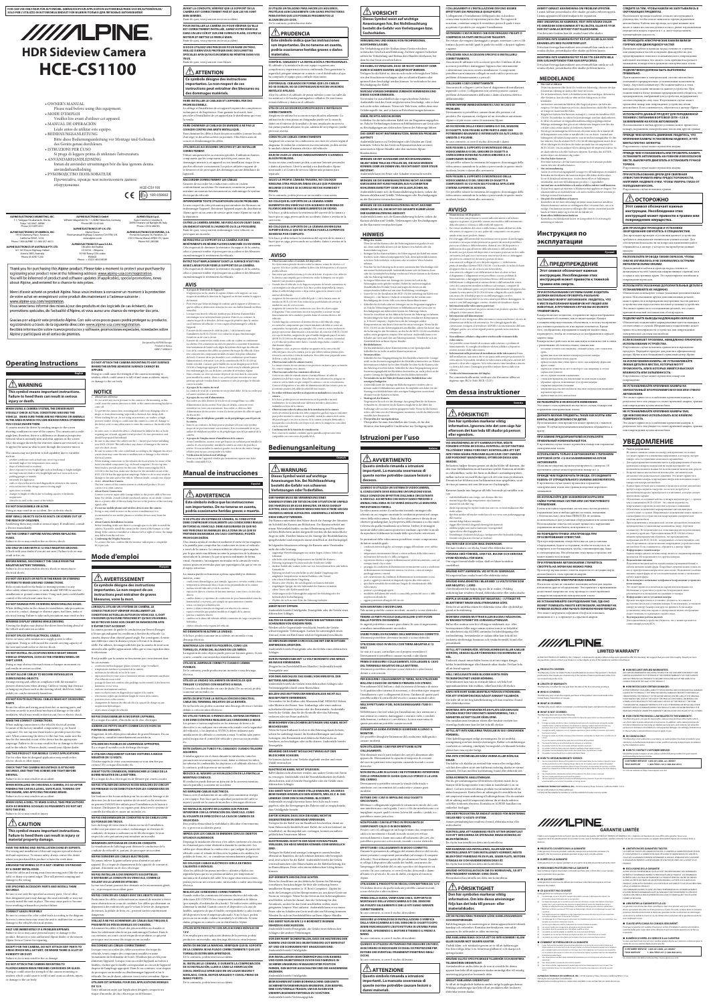# WINDINE. **HDR Sideview Camera HCE-CS1100**

## **WARNING**

### **This symbol means important instructions. Failure to heed them can result in serious injury or death.**

### **WHEN USING A CAMERA SYSTEM, THE DRIVER MUST VISUALLY CHECK ACTUAL CONDITIONS AROUND THE VEHICLE. MAKE SURE THERE ARE NO PERSONS OR ANIMALS IN THE AREA IN WHICH YOU ARE MANOEUVRING OTHERWISE YOU COULD INJURE THEM.**

### • obstacles located at the corner of the vehicle **DO NOT DISASSEMBLE OR ALTER.**

A camera assists the driver by sending images to the screen showing conditions in view of the camera. The camera uses a wideangle lens, therefore, there is a difference in distance perspective between what is normally seen and what appears on the screen. Also, the images shown by the rearview camera are reversed, so as to appear the same as what is seen through the rearview mirror.

#### The camera may not perform to full capability due to variables such as:

- weather conditions such as hard rain, snow, fog or mud extremely high or low temperatures near cam •
- slope of vehicle and/or roadway direct exposure to very bright light such as headlamp or bright sunlight • moving from very dark to very bright light and vice versa such as in •
- parking garages or tunnels • extremely low light areas • walls or objects that are located diagonally in relation to the camera
- retracted mirrors that change camera viewing angle • open doors or trunks

Doing so may result in an accident, fire or electric shock.

### **KEEP SMALL OBJECTS SUCH AS BOLTS OR SCREWS OUT OF THE REACH OF CHILDREN.**

## **USE THE CORRECT AMPERE RATING WHEN REPLACING**

**FUSES.** Failure to do so may result in fire or electric shock.

**USE ONLY IN CARS WITH A 12 VOLT NEGATIVE GROUND.** (Check with your dealer if you are not sure.) Failure to do so may

result in fire, etc. **BEFORE WIRING, DISCONNECT THE CABLE FROM THE NEGATIVE BATTERY TERMINAL.** Failure to do so may result in electric shock or injury due to

electrical shorts. **DO NOT USE BOLTS OR NUTS IN THE BRAKE OR STEERING** 

**SYSTEMS TO MAKE GROUND CONNECTIONS.** Bolts or nuts used for the brake or steering systems (or any other safety-related system), or tanks should NEVER be used for installations or ground connections. Using such parts could disable control of the vehicle and cause fire etc.

**DO NOT DAMAGE PIPE OR WIRING WHEN DRILLING HOLES.** When drilling holes in the chassis for installation, take precautions so as not to contact, damage or obstruct pipes, fuel lines, tanks or electrical wiring. Failure to take such precautions may result in fire.

## **MINIMISE DISPLAY VIEWING WHILE DRIVING.**

Viewing the display may distract the driver from looking ahead of the vehicle and cause an accident.

### **DO NOT SPLICE INTO ELECTRICAL CABLES.**

## **DO NOT INSTALL IN LOCATIONS WHICH MIGHT HINDER VEHICLE OPERATION, SUCH AS THE STEERING WHEEL OR**

### **DO NOT ALLOW CABLES TO BECOME ENTANGLED IN SURROUNDING OBJECTS.**

## Arrange wiring and cables in compliance with the manual to

**Operating Instructions English DO NOT ATTACH THE CAMERA MOUNTING TO ANY SURFACE** 

### **DO NOT ROUTE ELECTRICAL CABLES NEAR HOT OR MOVING PARTS**

## **MAKE THE CORRECT CONNECTIONS.**

changes to height of vehicle due to loading capacity or hydraulic suspensions •

### **Do not use mobile phones and wireless devices near the camera. •** Doing so may result in noise on the screen or malfunction. It is • rended to use mobile phones or wireless devices away from the

### and/or the vehicle. When in doubt, consult your Alpine dealer. **USE THIS PRODUCT FOR MOBILE 12 VOLT APPLICATIONS.** Use for other than its designed application may result in fire,

electric shock or other injury.

### **CHECK THAT THE CAMERA MOUNTINGS IS ATTACHED SECURELY, AND THAT THE SCREWS ARE TIGHT BEFORE DRIVING.**

Failure to do so may result in an accident.

**WHEN INSTALLING OR CHECKING A CAMERA, DO SO AFTER PARKING THE CAR IN A LEVEL, SAFE PLACE, TURNING OFF THE ENGINE, AND APPLYING THE HAND BRAKE.**

a caméra permet de guider le conducteur par l'envoi d'images à l'écran qui indiquent les conditions à l'arrière du véhicule. La

Failure to do so may result in an accident.

### **WHEN USING A DRILL TO MAKE A HOLE, TAKE PRECAUTIONS SUCH AS WEARING GOGGLES SO FRAGMENTS DO NOT GET INTO THE EYES.** Failure to do so may result in injury.

## **CAUTION**

**This symbol means important instructions. Failure to heed them can result in injury or material property damage.**

**HAVE THE WIRING AND INSTALLATION DONE BY EXPERTS.** The wiring and installation of this unit requires special technical skill and experience. To ensure safety, always contact the dealer where you purchased this product to have the work done.

### **ARRANGE THE WIRING SO IT IS NOT CRIMPED OR PINCHED BY A SHARP METAL EDGE.**

Route the cables and wiring away from moving parts (like the seat rails) or sharp or pointed edges. This will prevent crimping and damage to the wiring.

### **USE SPECIFIED ACCESSORY PARTS AND INSTALL THEM SECURELY.**

Be sure to use only the specified accessory parts. Use of other than designated parts may damage this unit internally or may not securely install the unit in place. This may cause parts to become loose resulting in hazards or product failure.

### **CONNECT LEADS PROPERLY**

Be sure to connect the color coded leads according to the diagram. Incorrect connections may cause the unit to malfunction or cause damage to the vehicle's electrical system.

### **HALT USE IMMEDIATELY IF A PROBLEM APPEARS.**

Failure to do so may cause personal injury or damage to the product. Return it to your authorized Alpine dealer or the nearest Alpine Service Center for repairing.

### **EXCEPT FOR THE CAMERA, DO NOT ATTACH ANY PARTS TO AREAS WHICH WILL GET WET, OR WHERE THERE IS A LOT OF HUMIDITY OR DUST.**

Failure to do so may result in fire or damage.

### **DO NOT ATTACH THE CAMERA MOUNTING TO FLUOROCARBON RESIN FINISHED CAR BODIES OR GLASS.**

Never cut away cable insulation to supply power to other equipment. Doing so will exceed the current carrying capacity of the wire and result in fire or electric shock. caméra dispose d'un objectif grand-angle. Par conséquent, il existe une différence entre la distance perçue à l'écran et la distance

Doing so could cause the strength of the camera mounting to weaken, which could cause it to fall of and cause accidents, injury, or damage to the car body.

eminez les câbles à l'écart des pièces mobiles ou chaudes et fixez-les solidement afin de ne pas endommager l'isolant. Dans le cas contraire, un court-circuit risque de se produire, ce qui peut provoquer une secousse électrique ou un incendie.

**WHERE THE ENTIRE ADHESIVE SURFACE CANNOT BE** 

**APPLIED.** Doing so could cause the strength of the camera mounting to weaken, which could cause it to fall of and cause accidents, injury, or damage to the car body.

car.

When making connections to the vehicle's electrical system, be aware of the factory installed components (e.g. on-board computer). Do not tap into these leads to provide power for this unit. When connecting the device to the fuse box, make sure the fuse for the intended circuit of the device has the appropriate amperage. Failure to do so may result in fire or damage to the unit **PORTEE DES ENFANTS.**

should be prepared beforehand. Be sure to disconnect the cable from the  $(-)$  battery post before installing your HCE-CS1100. This will reduce any chance of damage to the unit in case of a short-circuit.

coincer et d'endommager les câbles. **UTILISER LES ACCESSOIRES SPECIFIES ET LES INSTALLER** 

Be sure to connect the color coded leads according to the diagram. Incorrect nnections may cause the unit to malfunction or damage to the vehicles electrical system.

Swallowing them may result in serious injury. If swallowed, consult a Doctor immediately. **•**

When making connections to the vehicles electrical system, be aware of the factory installed components (e.g. on-board computer). Do not tap into these leads to provide power for this unit. When connecting the HCE-CS1100 to the fuse box, make sure the fuse for the intended circuit of the HCE-CS1100 has the appropriate amperage. Failure to do so may result in damage to the unit and/or the vehicle. When in doubt, consult your Alpine dealer. **About Rear Camera**

Connect a reverse input cable (orange/white) to the power cable of the rear lamp. For details, consult a dealer purchased camera, or car dealer. Connect this to a power cable of the rear lamp, but not to the positive of the rear lamp signal cable.

**SHIFT LEVER.** Doing so may obstruct forward vision or hamper movement etc. and results in serious accident. les cas suivants: •

prevent obstructions when driving. Cables or wiring that obstruct or hang up on places such as the steering wheel, shift lever, brake pedals, etc. can be extremely hazardous. lumeux, et vice versa endroits extrêmement sombres • • •

Route the cables and wiring away from hot or moving parts, and fix them securely to avoid heat/mechanical damage to the cable insulation, which may result in shortcircuit, fire or electric shock. suspensions hydrauliqu objets situés à l'angle du véhicule • •

camera. **About Camera Installation Location** Before installing, make sure there is a enough space to be able to install the camera. If possible, install the camera in the center of the bumper or other fitting. If the camera is installed at a distance left or right of center, the image

#### may differ from the real view. **Confirming the Display Function •** To connect the unit, confirm that the monitor will require a compatible

RCA pin jack.

**Mode d'emploi**

 **AVERTISSEMENT Ce symbole désigne des instructions importantes. Le non-respect de ces instructions peut entraîner de graves** 

**blessures, voire la mort.**

**LORSQU'IL UTILISE UN SYSTÈME DE CAMÉRA, LE CONDUCTEUR DOIT VÉRIFIER VISUELLEMENT LES** 

 $\c{score}$  un câble d'entrée de feu de recul (orange/blanc) au câble d'alimentation du feu arrière. Pour plus de détails, contactez votre revendeur ou votre concessionnaire. Raccordez ce câble au câble d'alimentation du feu arrière, et non à la borne positive du câble de signal

**NE SE TROUVE DANS SON CHAMP DE MANOEUVRE AFIN** 

**D'ÉVITER TOUT ACCIDENT.**

#### the device cord, or may allow water to enter the camera or the inside of the In some cases, to attach the device, a hole must be drilled in the car body, requiring use of touch-up paint (retail product) for rust-prevention, and **la caméra.** Dans le cas contraire, du bruit peut se produire à l'écran ou le système • risque de ne pas fonctionner correctement. Il est recommandé de ne pas utiliser de téléphone portable ou de périphérique sans fil à proximité de la caméra.

le rétroviseur.

d'un véhicule ou au soleil

### **NOTICE About Care of Device •**

Do not assert any excess pressure to the camera or the mounting, as this could cause the camera direction to shift, or the camera mounting bracket to come off. To prevent the camera lens, mounting and cords from changing color or e, or from deteriorating, wipe with a chemical-free, damp cloth. When washing the car, do not using an automatic car washer, or high-pressure washer. Doing so could cause the camera to come off, damage to •

### portières et/ou coffre ouverts changement de hauteur du véhicule dû à la capacité de charge ou aux

## **NE PAS DESASSEMBLER NI MODIFIER L'APPAREIL.**

## Il y a risque d'accident, d'incendie ou de choc électrique.

**GARDER LES PETITS OBJETS COMME LES VIS HORS DE**  L'ingestion de tels objets peut entraîner de graves blessures. En cas d'ingestion, consulter immédiatement un médecin.

## **UTILISER DES FUSIBLES DE L'AMPERAGE APPROPRIE.** Il y a risque d'incendie ou de décharge électrique.

### The rear camera of this camera system is a dedicated product. Do not connect it to other cameras. **About Power Connection •**

**A UTILISER UNIQUEMENT SUR DES VOITURES A MASSE NEGATIVE DE 12 VOLTS.** (Vérifiez auprès de votre concessionnaire si vous n'en êtes pas certain.) Il y a risque d'incendie, etc. **AVANT TOUTE CONNEXION, DEBRANCHER LE CABLE DE LA BORNE NEGATIVE DE LA BATTERIE.** Il y a risque de choc électrique ou de blessure par courts-circuits.

**NE PAS UTILISER DES ECROUS NI DES BOULONS DU CIRCUIT DE FREINAGE OU DE DIRECTION POUR LES CONNEXIONS DE** 

**MASSE.**

Les boulons et les écrous utilisés pour les circuits de freinage et de direction (ou de tout autre système de sécurité) ou les réservoirs ne peuvent JAMAIS être utilisés pour l'installation ou la liaison à la masse. L'utilisation de ces organes peut désactiver le système de contrôle du véhicule et causer un incendie, etc.

### **NE PAS ENDOMMAGER DE CONDUITES NI DE CABLES LORS DU FORAGE DES TROUS.**

Lors du forage de trous dans le châssis en vue de l'installation, veiller à ne pas entrer en contact, endommager ni obstruer de conduites, de tuyaux à carburant ou de fils électriques. Le nonrespect de cette précaution peut entraîner un incendie.

températures extrêmes à proximité de la caméra inclinaison du véhicule et/ou de la route •

### **MINIMISER L'AFFICHAGE EN COURS DE CONDUITE.**

La visualisation de l'affichage peut distraire le conducteur de la conduite du véhicule et, partant, de provoquer un accident. **NE PAS DENUDER LES CABLES ELECTRIQUES.** 

Ne jamais enlever la gaine isolante pour alimenter un autre appareil. Il y a risque de dépassement de la capacité de courant et, partant, d'incendie ou de choc électrique.

> **TORNILLOS ESTÁN BIEN APRETADOS.** De lo contrario, podría tener un accident

**NE PAS INSTALLER A DES ENDROITS SUSCEPTIBLES D'ENTRAVER LA CONDUITE DU VEHICULE, COMME LE VOLANT OU LE LEVIER DE VITESSES.**  La vue vers l'avant pourrait être obstruée ou les mouvements gênés,

etc., et provoquer un accident grave.

De lo contrario, podría hacerse daño. **/!\really** PRUDENCIA

**NE PAS COINCER LES CABLES AVEC DES OBJETS VOISINS.**  Positionner les câbles conformément au manuel de manière à éviter oute obstruction en cours de conduite. Les câbles qui obstruent ou dépassent à des endroits tels que le volant, le levier de changement de vitesses, la pédale de frein, etc., peuvent s'avérer extrêmement dangereux.

### **VEILLEZ À NE PAS ACHEMINER LES CÂBLES ÉLECTRIQUES À PROXIMITÉ DE PIÈCES MOBILES OU CHAUDES.**

utilización de otras piezas no designadas puede ser la causa de daños en el interior de la unidad o de una instalación incorrecta. Las piezas pueden aflojarse, lo que, además de ser peligroso, puede provocar averías

### **RACCORDEZ LES CÂBLES CORRECTEMENT.**

**NO COLOQUE EL SOPORTE DE LA CÁMARA SOBRE ELEMENTOS DEL VEHÍCULO CON ACABADO DE RESINA DE FLUOROCARBONO NI SOBRE ELEMENTOS DE VIDRIO.** Si lo hace, podría reducir la resistencia del soporte de la cámara y hacer que se caiga, provocando un accidente. daños o averías en la

Lorsque vous raccordez des câbles au système électrique du véhicule, tenez compte des composants installés en usine (notamment de l'ordinateur de bord). N'utilisez pas ces fils pour alimenter l'appareil. Lorsque vous raccordez l'appareil au boîtier à fusibles, vérifiez que le fusible correspondant au circuit de l'appareil dispose de l'ampérage approprié. Dans le cas contraire, vous risquez de provoquer un incendie ou d'endommager l'appareil et/ou le

## véhicule. En cas de doute, adressez-vous à votre revendeur Alpine. **UTILISER CET APPAREIL POUR DES APPLICATIONS MOBILES**

## **DE 12 V.**

Toute utilisation autre que l'application désignée comporte un risque d'incendie, de choc électrique ou de blessure.

•

•

•

•

•

**•**

•

•

**FOR CAR USE ONLY/NUR FÜR AUTOMOBIL GEBRAUCH/POUR APPLICATION AUTOMOBILE/PARA USO EN AUTOMÓVILES/ SOLO PER L'UTILIZZO IN AUTOMOBILE/ENDAST FÖR BILBRUK/ТОЛЬКО ДЛЯ ЛЕГКОВЫХ АВТОМОБИЛЕЙ**

**AVANT LA CONDUITE, VÉRIFIEZ QUE LE SUPPORT DE LA CAMÉRA EST CORRECTEMENT FIXÉ ET QUE LES VIS SONT BIEN SERRÉES.** Faute de quoi, vous pourriez avoir un accident.

**POUR INSTALLER LA CAMÉRA OU POUR VÉRIFIER QU'ELLE** 

**EST CORRECTEMENT INSTALLÉE, GAREZ VOTRE VÉHICULE DANS UN LIEU SÛR ET SUR UNE SURFACE PLANE, COUPEZ LE MOTEUR ET METTEZ LE FREIN À MAIN.**

Faute de quoi, vous pourriez avoir un accident.

**SI VOUS UTILISEZ UNE PERCEUSE POUR FAIRE UN TROU, VEILLEZ À BIEN VOUS PROTÉGER AVEC DES LUNETTES SPÉCIALES AFIN QU'AUCUN DÉBRIS NE PÉNÈTRE DANS VOS** 

**YEUX.**



**des dommages matériels. FAIRE INSTALLER LE CABLAGE ET L'APPAREIL PAR DES** 

**Français** Una cámara ayuda al conductor mediante el envío de las imágenes a la pantalla para comprobar las condiciones en torno al vehículo a través de la cámara. La cámara utiliza un objetivo gran angular, por lo que existe una diferencia entre la perspectiva de la distancia mostrada en la cámara y la que se aprecia realmente de forma visual. Asimismo, las imágenes mostradas en la cámara de visión trasera aparecen invertidas para que equivalgan a las que se ven en el espejo retrovisor.

## **PROFESSIONNELS.**

#### **Observaciones sobre la ubicación de la instalación de la cámara** Antes de realizar la instalación, debe comprobar que hay espacio suficiente para poder instalar la cámara. Si es posible, instale la cámara en el centro del parachoques o en otro accesorio. Si la cámara se instala demasiado a la izquierda o a la derecha con respecto al centro, la imagen no coincidirá

Le câblage et l'installation de cet appareil requiert des compétences techniques et de l'expérience. Pour garantir la sécurité, faire procéder à l'installation de cet appareil par le distributeur qui vous l'a vendu.

**FAIRE CHEMINER LE CABLAGE DE MANIERE A NE PAS LE COINCER CONTRE UNE ARETE METALLIQUE.** Faire cheminer les câbles à l'écart des pièces mobiles (comme les rails d'un siège) et des arêtes acérées ou pointues. Cela évitera ainsi de

**CORRECTEMENT.** Utiliser uniquement les accessoires spécifiés. L'utilisation d'autres

composants que les composants spécifiés peut causer des dommages internes à cet appareil ou son installation risque de ne pas être effectuée correctement. Les pièces utilisées risquent de se desserrer et de provoquer des dommages ou une défaillance de l'appareil.

#### réelle. Par ailleurs, les images affichées par la caméra de recul sont nversées afin qu'elles apparaissent telles que si vous regardiez dans **MANTENGA LOS OBJETOS PEQUEÑOS, COMO LOS TORNILLOS, FUERA DEL ALCANCE DE LOS NIÑOS.**

### **RACCORDER CORRECTEMENT LES CÂBLES**

#### Il est possible que la caméra ne fonctionne pas correctement dans conditions météorologiques (pluies violentes, neige, brouillard) • **UTILICE EL AMPERAJE CORRECTO CUANDO CAMBIE**

S'assurer de raccorder les conducteurs codés en couleur conformément au schéma. De mauvaises connexions peuvent entraîner un mauvais fonctionnement ou endommager le système électrique du véhicule.

exposition directe à une source lumineuse intense, notamment aux phares **FUSIBLES.** De lo contrario, puede producirse un incendio o una descarga eléctrica.

**INTERROMPRE TOUTE UTILISATION EN CAS DE PROBLEME.**

#### passage de lieux très sombres (des parkings ou des tunnels) à des lieux très **UTILICE LA UNIDAD SOLAMENTE EN VEHÍCULOS QUE TENGAN 12 VOLTIOS CON NEGATIVO A MASA.**

Le non-respect de cette précaution peut entraîner des blessures ou endommager l'appareil. Retourner l'appareil auprès du distributeur Alpine agréé ou un centre de service après-vente Alpine en vue de la réparation.

murs ou objets situés en diagonale par rapport à la caméra • rétroviseurs repliés qui modifient l'angle de vision de la caméra (Consulte a su distribuidor en caso de duda.) De no ser así, podría ocasionar un incendio, etc.

**OUTRE LA CAMÉRA ARRIÈRE, NE FIXEZ AUCUN OBJET DANS UN ENDROIT EXPOSÉ À L'HUMIDITÉ OU À LA POUSSIÈRE.** Faute de quoi, vous pourriez endommager votre véhicule ou

provoquer un incendie. **NE FIXEZ PAS LE SUPPORT DE LA CAMÉRA SUR DES REVÊTEMENTS EN RÉSINE FLUOROCARBONÉE OU EN VERRE.** Cela risquerait de diminuer la résistance du support de la caméra, celui-ci pourrait tomber et provoquer un accident et des blessures ou endommager le revêtement du véhicule.

**ÉVITEZ TOUT EMPLACEMENT DONT LA SURFACE N'EST PAS ASSEZ LARGE POUR FIXER LE SUPPORT DE LA CAMÉRA.** Cela risquerait de diminuer la résistance du support de la caméra, celui-ci pourrait tomber et provoquer un accident et des blessures ou endommager le revêtement du véhicule.

### **AVIS**

- **À propos de l'entretien de l'appareil** N'appuyez pas sur la caméra, le capteur d'objets ou le support, car vous risquez de modifier la direction de l'appareil ou de faire tomber le support de fixation. **•**
- Pour éviter que l'objectif change de couleur, que le support se déforme ou que les câbles se détériorent, nettoyez-les avec un chiffon humide en fibres naturelles. Lorsque vous lavez le véhicule, n'utilisez pas de laveur d'automobiles •
- automatique ni ne nettoyeur haute pression. Dans le cas contraire, la caméra risque de se détacher, de l'eau risque de pénétrer dans la caméra ou à l'intérieur du véhicule, et vous risquez d'endommager le câble de l'appareil.
- S'assurer de déconnecter le câble du pôle (–) de la batterie avant l'installation du HCE-CS1100. Ceci reduit les risques d'endommager l'unité en cas de court-circuit.
- S'assurer de connecter les conducteurs codés en couleur se conformant au schéma. Des connexions incorrectes peuvent occasionner le manuvai •
- fonctionnement de l'unité ou le dégât du système électrique du véhicule. Lors de la connexion des câbles au système électrique du véhicule, il faut • être conscient des composants installés en usine (tel qu'un ordinateur de bord). S'assurer de ne pas brancher à ces conducteurs pour fournir l'alimentation à cette unité. Lors de la connexion du HCE-CS1100 au boîtier à fusible, s'assurer que le fusible du circuit désigné pour le HCE-

La cámara trasera de este sistema es un producto exclusivo para su función No conecte ninguna otra cámara. **Observaciones sobre las conexiones eléctricas •**

CS1100 a l'ampérage approprié. Sinon, I'unité et/ou le véhicule peuvent être endommagés. En cas de doute, consulter le revendeur Alpine. Dans certains cas, il est nécessaire de percer un trou dans la carrosserie • pour installer la caméra ; dans ce cas, prévoyez une retouche avec une

> à d'autres systèmes de caméra. **À propos du raccord d'alimentation**

du feu arrière.

Avant l'installation, assurez-vous que l'espace est suffisant pour installer la caméra. Si cela est possible, installez la caméra au centre du parechocs arrière. Si vous installez la caméra à gauche ou à droite du centre, l'image

• In einigen Fällen muss zur Montage des Geräts ein Loch in die eugkarosserie gebohrt werden. Halten Sie Ausbesserungslac (handelsübliches Produkt) bereit und tragen Sie diesen an den entsprechenden Stellen auf, um einer Rostbildung vorzubeugen. Lösen Sie vor der Installation des HCE-CS1100 unbedingt das Kabel vom

affichée peut ne pas correspondre à la réalité. **Vérification de la fonction d'affichage**

Pour raccorder l'appareil, vérifiez que le moniteur requiert une fiche

femelle compatible RCA.

**Manual de instrucciones**

**Español**

 **ADVERTENCIA**

**Este símbolo indica que las instrucciones son importantes. De no tenerse en cuenta, podría ocasionarse heridas graves o muerte.**

**PROVOCAR DAÑOS.**

## La cámara puede no funcionar a plena capacidad por distintos

## **NO DESMONTE NI ALTERE LA UNIDAD.**

Si lo hace, podrá ocasionar un accidente, un incendio o una descarga eléctrica.

La ingestión de estos objetos puede provocar lesiones graves. Si esto ocurre, consulte con un médico inmediatamente.

> **DEL TERMINALE NEGATIVO DELLA BATTERIA.** Altrimenti potrebbero derivare scosse elettriche o altre lesion

contre la rouille. **À propos de la caméra de recul •**

**ANTES DE EFECTUAR LA INSTALACIÓN DESCONECTE EL CABLE DEL TERMINAL NEGATIVO DE LA BATERÍA.**

debido a cortocircuitos eléctricos.

**N'utilisez pas de téléphone portable ou de périphérique sans fil près de •**

Los pernos o tuercas empleados en los sistemas de freno o de

**À propos de l'emplacement d'installation de la camera •**

ecchi. Diversamente la capacità di trasporto di corrent del cavo in questione viene superata causando incendi o scosse elettriche.

del vehículo), o los depósitos, NUNCA deben utilizarse para instalaciones de cableado o conexión a masa. Si utiliza tales partes podrá incapacitar el control del vehículo y provocar un incendio,

etc.

**EVITE DAÑAR LOS TUBOS Y EL CABLEADO CUANDO TALADRE** 

**AGUJEROS.**

lo contrario, podría provocar un incendio.

### **EFFETTUARE I COLLEGAMENTI IN MODO CORRETTO.** Durante le operazioni di cablaggio del sistema elettrico del veicolo,

**MIENTRAS CONDUCE.**

motivos, como: condiciones climatológicas, por ejemplo, aguaceros, nevadas, niebla o barro • temperaturas demasiado altas o bajas en las proximidades de la cámara •

mira la pantalla y ocasionar un accidente. **NO EMPALME CABLES ELÉCTRICOS.** 

- inclinación del vehículo y/o de la carretera exposición directa a fuentes de luz muy intensas, como faros o la luz solar • directa •
- cambio drástico y repentino de condiciones de poca luminosidad a mucha luminosidad, y viceversa, por ejemplo en aparcamientos o túneles
- zonas con muy poca iluminación muros y objetos situados en diagonal con relación a la cámara •
- **CONDITIONS ACTUELLES AUTOUR DU VÉHICULE. IL DOIT S'ASSURER QU'AUCUNE PERSONNE ET QU'AUCUN ANIMAL**  espejos retráctiles que puedan modificar el ángulo de la cámara • puertas o maletero abierto •
	- cambios en la altura del vehículo debido a aumento de carga o suspensión hidráulica •
	- objetos situados en la esquina del vehículo •

Nunca corte el aislamiento de un cable para suministrar energía a otro equipo. Esto hace que la capacidad portadora del cable se supere y puede ser la causa de incendios o descargas eléctricas. **NO INSTALE EL EQUIPO EN LUGARES QUE PUEDAN INTERFERIR CON LA OPERACIÓN DEL VEHÍCULO, COMO EL VOLANTE DE DIRECCIÓN O LA CAJA DE CAMBIOS DE** 

**VELOCIDAD.** 

Esto podría obstaculizar la visibilidad y dificultar el movimiento,

etc. y provocar accidentes graves.

**IMPIDA QUE LOS CABLES SE ENREDEN CON LOS OBJETOS** 

**SITUADOS ALREDEDOR.** 

## $\frac{1}{2}$ ATTENZIONE **Questo simbolo rimanda a istruzioni importanti. La mancata osservanza di**

Disponga la instalación eléctrica y los cables conforme a lo descrito en el manual para evitar obstáculos durante la conducción. Los cables que obstaculizan la conducción o que cuelgan de partes del vehículo como el volante de dirección, la palanca de cambios, los pedales de freno, etc., se consideran extremadamente peligrosos. **NO COLOQUE CABLES ELÉCTRICOS CERCA DE PIEZAS** 

**CALIENTES O MÓVILES.**

Aleje los cables de las piezas móviles o calientes y fíjelos con seguridad para que no se produzcan daños por temperatura/ mecánica en el aislante del cable. Si no sigue estas instrucciones,

eléctrica.

**REALICE LAS CONEXIONES CORRECTAMENTE.**

Cuando realice las conexiones del sistema eléctrico del vehículo, debe tener EN CUENTA los componentes instalados de fábrica (por ejemplo, el ordenador de a bordo). No utilice estos cables para alimentar la unidad. Cuando conecte el dispositivo a la caja de fusibles, asegúrese de que el fusible correspondiente a cada circuito del dispositivo tiene el amperaje adecuado. Si no lo hace, podría provocar un incendio o dañar la unidad y/o el vehículo. Si tiene dudas, póngase en contacto con su distribuidor Alpine. **UTILICE ESTE PRODUCTO CON APLICACIONES MÓVILES DE** 

Ciò potrebbe ridurre la resistenza del supporto di montaggio della ideocamera causandone la caduta e provocando in questo modo

**12 V.**

della telecamera o il distacco della staffa del supporto. Per evitare modifiche del colore o della forma o danni all'obiettivo della telecamera, al supporto e ai cavi, pulire tali componenti con un panno

Si se emplea para otra aplicación distinta de la prevista, podría producirse un incendio, una descarga eléctrica u otras lesiones.

**AL INSTALAR LA CÁMARA, O DURANTE LA COMPROBACIÓN DE SU INSTALACIÓN, LLEVE A CABO LA VERIFICACIÓN CON EL VEHÍCULO APARCADO EN UN LUGAR SEGURO Y NIVELADO, CON EL MOTOR APAGADO Y CON EL FRENO DE** 

**MANO PUESTO.**

De lo contrario, podría tener un accidente.

**•**

**•**

**SI UTILIZA UN TALADRO PARA HACER LOS AGUJEROS, PROTÉJASE ADECUADAMENTE CON GAFAS PROTECTORAS PARA EVITAR QUE LOS POSIBLES FRAGMENTOS LE ALCANCEN LOS OJOS.**

**Este símbolo indica que las instrucciones son importantes. De no tenerse en cuenta, podría ocasionarse heridas graves o daños materiales.**

**SI SE UTILIZA UN SISTEMA DE CÁMARA, EL CONDUCTOR DEBE COMPROBAR VISUALMENTE LAS CONDICIONES REALES EN TORNO AL VEHÍCULO. DEBE ASEGURARSE DE QUE NO HAY PERSONAS NI ANIMALES EN LA ZONA EN LA QUE SE PRETENDE MANIOBRAR. EN CASO CONTRARIO, PODRÍA DIESE VERLETZT WERDEN.** Die Kamera unterstützt den Fahrer durch die Anzeige der Situation im Sichtfeld der Kamera am Bildschirm. Die Kamera arbeitet mit einem Weitwinkelobjektiv, wodurch Entfernung und Perspektive auf dem Bildschirm anders dargestellt werden, als das menschliche Auge sie sieht. Darüber hinaus ist die Anzeige der Rückfahrkamera spiegelverkehrt und entspricht damit dem Blick in den Rückspiegel.

**CONFÍE EL CABLEADO Y LA INSTALACIÓN A PROFESIONALES.** El cableado y la instalación de este equipo requieren una competencia y experiencia técnica confirmada. Para garantizar la

seguridad, póngase siempre en contacto con el distribuidor al que ha comprado el equipo para confiarle estas tareas. **DISPONGA EL CABLEADO DE FORMA QUE LOS CABLES NO SE DOBLEN, NO SE CONTRAIGAN NI ROCEN UN BORDE METÁLICO AFILADO.**

Aleje los cables y el cableado de piezas móviles (como los raíles de los asientos) o de bordes puntiagudos o afilados. De esta forma evitará dobleces y daños en el cableado. **UTILICE LOS ACCESORIOS ESPECIFICADOS E INSTÁLELOS** 

**CORRECTAMENTE.** Asegúrese de utilizar los accesorios especificados solamente. La

**CONECTE LOS CABLES CORRECTAMENTE** ese de conectar los conductores con clave de colores según el diagrama. Si realiza las conexiones incorrectamente, podría averiar la unidad o dañar el sistema eléctrico del vehículo.

**DEJE DE USAR LA UNIDAD INMEDIATAMENTE SI APARECE ALGÚN PROBLEMA.**

Su uso en estas condiciones podría ocasionar lesiones personales o daños al producto. Lleve la unidad a un distribuidor Alpine autorizado o al Centro de servicio Alpine más próximo para repararla.

**SALVO LA PROPIA CÁMARA TRASERA, NO COLOQUE NINGUNA OTRA PIEZA EN ÁREAS EN LAS QUE PUDIERAN MOJARSE O DONDE SE ACUMULE MUCHA HUMEDAD Y POLVO.**

De lo contrario, podría provocar un incendio o una avería.

peinture spéciale (vendue dans le commerce) afin de protéger le véhicule La caméra de recul de ce système est un produit dédié. Ne la raccordez pas alimentación del faro trasero. Para obtener más información, póngase en ontacto con la tienda en que compró la cámara o con su con Conecte el dispositivo a un cable de alimentación del faro trasero, pero no al extremo positivo del cable de señal del faro trasero. **No utilice teléfonos móviles ni dispositivos inalámbricos cerca de la •**

carrocería.

**NO COLOQUE EL SOPORTE DE LA CÁMARA EN NINGUNA SUPERFICIE EN LA QUE NO SE PUEDA FIJAR LA SUPERFICIE ADHESIVA POR COMPLETO.**

Si lo hace, podría reducir la resistencia del soporte de la cámara y hacer que se caiga, provocando un accidente, daños o averías en la carrocería.

De no hacerlo así, podría ocasionar una descarga eléctrica o heridas **MASSEPUNKTE VERWENDEN.**  Verwenden Sie für Einbau oder Masseanschluß NIEMALS Bolzen oder Muttern der Brems- bzw. Lenkanlage oder eines anderen sicherheitsrelevanten Systems oder des Benzintanks. Andernfalls besteht die Gefahr, dass Sie die Kontrolle über das Fahrzeug

## **AVISO**

#### **NO UTILICE TUERCAS O PERNOS EN EL SISTEMA DE FRENOS O DE DIRECCIÓN PARA REALIZAR LAS CONEXIONES A MASA.** dirección (o en cualquier otro sistema relacionado con la seguridad verlieren oder ein Feuer ausbricht. **BEIM BOHREN VON LÖCHERN LEITUNGEN UND KABEL NICHT BESCHÄDIGEN.**

la cámara y para impedir que se deterioren, realice la limpieza con un paño húmedo y sin productos químico Cuando lave el vehículo, no lo haga en un puesto de lavado automático ni con mangueras de alta presión. Si lo hace, podría desprender la cámara,

Si taladra agujeros en el chasis durante la instalación, tome las uciones necesarias para no rozar, dañar u obstruir los tubos, las tuberías de combustible, los depósitos o el cableado eléctrico. De Sie können dadurch vom Verkehr abgelenkt werden und einen Unfall verursachen.

dañar el cable del dispositivo o dejar entrar agua en la cámara o en el interior del vehículo. Asegúrese de desconectar el cable del polo (–) de la batería antes de

**REDUZCA AL MÁXIMO LA VISUALIZACIÓN DE LA PANTALLA**  El conductor puede distraer su atención de la carretera mientras Kabel dürfen nicht abisoliert werden, um andere Geräte mit Strom zu versorgen. Andernfalls wird die Strombelastbarkeit des Kabels überschritten, und es besteht Feuergefahr oder die Gefahr eines elektrischen Schlages.

- instalar su HCE-CS1100. Esto reducirá las posibilidades de averiar la unidad en caso de cortocircuito. Asegúrese de conectar los conductores con clave de colores según
- el diagrama. Unas conexiones incorrectas pueden ocasionar un mal funcionamiento de la unidad o pueden dañar el sistema eléctrico del vehículo.

Cuando haga las conexiones al sistema eléctrico del vehículo, tenga en cuenta los componentes que vienen instalados de fábrica (como un computador incorporado, por ejemplo). No conecte a estos con para proporcionar alimentación a esta unidad. Al conectar el HCE-CS1100 a la caja de fusibles, asegúrese de que el fusible designado para el circuito del HCE-CS1100 sea del amperaje adecuado. De lo contrario, Ia unidad

> positive Leitung des Signalkabels für den Rückfahrschein **Verwenden Sie in der Nähe der Kamera keine Mobiltelefone oder Verifica del funzionamento del display** Per connetterla alla unità, verificare che il monitor abbia un **•**

- y/o el vehículo podrán sufrir daños. Cuando tenga dudas, consulte a su distribuidor Alpine. En algunos casos, es preciso taladrar un agujero en la carrocería del •
- vehículo para colocar la cámara, por lo que deberá utilizar pintura para retocar la carrocería y evitar la oxidación. Esto debe estar preparado antes de llevar a cabo la instalación.

**Observaciones sobre la cámara trasera**

Conecte un cable de entrada inverso (naranja/blanco) al cable de

podría provocar un cortocircuito, un incendio o sufrir una descarga Wenn Sie Anschlüsse an das elektrische System des Fahrzeugs vornehmen, berücksichtigen Sie bitte alle werkseitig bereits installierten Komponenten (z. B. Bord-Computer). Zapfen Sie nicht die Leitungen solcher Komponenten an, um dieses Gerät mit Strom zu versorgen. Wenn Sie das Gerät an den Sicherungskasten anschließen, achten Sie darauf, dass die Sicherung für den Stromkreis, an den Sie das Gerät anschließen wollen, einen geeigneten Ampere-Wert aufweist. Andernfalls kann es zu einem Feuer oder zu Schäden am Gerät und/oder am Fahrzeug kommen. Wenden Sie sich im Zweifelsfall bitte an Ihren Alpine-Händler.

**cámara.** Si lo hace, podría provocar interferencias en la pantalla o un mal • endimiento. Se recomienda usar teléfonos móviles y dispositivo inalámbricos lejos de la cámara.

Anslut en reverserad ingångskabel (orange/vit) till baklampans strömkabel. Kontakta återförsäljaren där kameran köptes eller bilens återförsäljare, för att få detaljerad information. Anslut denna till en av baklampans strömkablar, men inte till baklampans positiva (+) signalkabel. Använd inte en mobiltelefon och andra trådlösa enheter intill kamera Då kan brus uppstå på skärmen och kameran kan upphöra att fungera. Det • enderas att mobiltelefoner och andra trådlösa enheter används på

**ANTES DE INICIAR LA MARCHA, VERIFIQUE QUE EL SOPORTE DE LA CÁMARA SE HA FIJADO CORRECTAMENTE Y QUE LOS VOR DER FAHRT SICHERSTELLEN, DASS DIE HALTERUNG DER KAMERA UND/ODER DES OBJEKTSENSORS GUT BEFESTIGT IST UND DIE SCHRAUBEN FEST ANGEZOGEN SIND.** Andernfalls besteht Unfallgefahr.

compatible con conectores de patilla RCA.

## **Bedienungsanleitung**

## **Deutsch**

## **WARNUNG Dieses Symbol weist auf wichtige**

**/!\ ПРЕДУПРЕЖДЕНИЕ Этот символ обозначает важные инструкции. Несоблюдение этих инструкций может привести к тяжелой** 

### **Anweisungen hin. Bei Nichtbeachtung besteht die Gefahr von schweren Verletzungen oder Todesfällen.**

### **DER FAHRER MUSS BEI VERWENDUNG EINES KAMERASYSTEMS DIE TATSÄCHLICHE SITUATION IM UMFELD DES FAHRZEUGS IM AUGE BEHALTEN. ER MUSS DARAUF ACHTEN, DASS SICH WEDER MENSCHEN NOCH TIERE UM DAS FAHRZEUG HERUM AUFHALTEN. ANDERNFALLS KÖNNTEN**

Камера помогает водителю, отправляя не экран изображени окружающей обстановки, как ее видит камера. Камера оснашена широкоугольным объективом, и потому восприяти расстояния в реальности и на экране отличается. Кроме того, изображение, передаваемое камерой заднего вида, перевернуто, чтобы не отличаться от изображения в зеркале

гаража или туннеля • места с крайне плохим освещением

**ПРЕЖДЕ ЧЕМ ПОДКЛЮЧАТЬ ПРОВОДА, ОТСОЕДИНИТЕ КАБЕЛЬ ОТ ОТРИЦАТЕЛЬНОГО ЗАЖИМА АККУМУЛЯТОРА.** .<br>В противном случае может произойти поражение электрическим током или травма вследствие коротког

**Observaciones sobre el cuidado del dispositivo** No ejerza nunca presión excesiva sobre la cámara, sensor de objetos o el soporte. Si lo hace, podría cambiar la dirección del dispositivo o el soporte podría soltarse. Para evitar que cambie la forma y el color de la lente, el soporte o los cables de **•** •

**GERÄT NICHT ÖFFNEN.**  Andernfalls besteht Unfallgefahr, Feuergefahr oder die Gefahr eines elektrischen Schlages.

## **HALTEN SIE KLEINE GEGENSTÄNDE WIE BATTERIEN ODER SCHRAUBEN VON KINDERN FERN.**

Werden solche Gegenstände verschluckt, besteht die Gefahr schwerwiegender Verletzungen. Suchen Sie unverzüglich einen Arzt auf, wenn ein Kind einen solchen Gegenstand verschluckt.

**SICHERUNGEN IMMER DURCH SOLCHE MIT DER RICHTIGEN AMPEREZAHL ERSETZEN.** 

Andernfalls besteht Feuergefahr oder die Gefahr eines elektrischen Schlages.

**NUR IN FAHRZEUGEN MIT 12-VOLT-BORDNETZ UND MINUS AN MASSE VERWENDEN.**  (Fragen Sie im Zweifelsfall Ihren Händler.) Andernfalls besteht

## Feuergefahr usw.

**VOR DEM ANSCHLUSS DAS KABEL VOM MINUSPOL DER BATTERIE ABKLEMMEN.** 

### Andernfalls besteht die Gefahr eines elektrischen Schlages oder Verletzungsgefahr durch einen Kurzschluss. **BOLZEN UND MUTTERN DER BREMSANLAGE NICHT ALS**

con la vista real. **Confirmación de la función de visualización** Para conectar la unidad, confirme que la pantalla aceptará una toma **•**

Wenn Sie beim Einbauen Löcher in das Fahrzeugchassis bohren, achten Sie unbedingt darauf, die Kraftstoffleitungen und andere Leitungen, den Benzintank und elektrische Kabel nicht zu berühren, zu beschädigen oder zu blockieren. Andernfalls besteht

Feuergefahr.

**WÄHREND DER FAHRT MÖGLICHST WENIG AUF DEN** 

**BILDSCHIRM SCHAUEN.** 

### **ELEKTRISCHE KABEL NICHT SPLEISSEN.**

In folgenden Situationen erbringt die Kamera unter Umständen nicht die volle Leistung: •

- ungünstige Wetterbedingungen wie starker Regen, Schnee, Nebel oder Schlamm sehr hohe oder niedrige Temperaturen im Umfeld der Kamera Fahrzeug in geneigter Position und/oder Straße mit Gefälle
- direkter Einfall sehr starken Lichts wie von Autoscheinwerfern oder hellem Sonnenlicht
- Fahrzeug wechselt von sehr heller in sehr dunkle Umgebung oder umgekehrt, beispielsweise in einem Parkhaus oder Tunnel sehr schwach beleuchtete Umgebung •
- Mauern oder Objekte, die sich diagonal zur Kamera befinden eingeklappte Spiegel, die den Sichtwinkel der Kamera verändern • • •
- offene Türen oder Kofferraumdeckel Änderungen an der Fahrzeughöhe aufgrund der Beladung oder der • •
- hydraulischen Radaufhängung Objekte, die sich an einer Ecke des Fahrzeugs befinden •

### **DAS GERÄT NICHT AN EINER STELLE EINBAUEN, AN DER ES BEIM FAHREN HINDERLICH SEIN KÖNNTE, WEIL ES Z. B. DAS LENKRAD ODER DEN SCHALTHEBEL BLOCKIERT.**  Andernfalls ist möglicherweise keine freie Sicht nach vorne

В противном случае возможна травма или повреждени продукта. Передайте продукт для ремонта официальному дилеру Alpine или в ближайший сервисный центр Alpine. **ЗА ИСКЛЮЧЕНИЕМ КАМЕРЫ, НЕ УСТАНАВЛИВАЙТЕ ЛЮБЫЕ ДЕТАЛИ В МЕСТАХ, КОТОРЫЕ МОГУТ ПРОМОКНУТЬ, ИЛИ В КОТОРЫХ ИМЕЕТСЯ ВЫСОКАЯ** 

gegeben, oder die Bewegungen des Fahrers sind so eingeschränkt, dass Unfallgefahr besteht.

### **DAFÜR SORGEN, DASS SICH DIE KABEL NICHT IN GEGENSTÄNDEN IN DER NÄHE VERFANGEN.**

Verlegen Sie die Kabel wie im Handbuch beschrieben, damit sie beim Fahren nicht hinderlich sind. Kabel, die sich im Lenkrad, im Schalthebel, im Bremspedal usw. verfangen, können zu äußerst gefährlichen Situationen führen.

### **ELEKTROKABEL NICHT IN DER NÄHE VON BAUTEILEN VERLEGEN, DIE HEISS WERDEN KÖNNEN ODER BEWEGLICH SIND.**

Verlegen Sie Kabel und sonstige Leitungen in ausreichendem Abstand zu Bauteilen, die sich erhitzen können oder beweglich sind, und sichern Sie die Kabel. Andernfalls besteht die Gefahr von mechanischen oder Hitzeschäden an der Kabelisolierung, die zu Kurzschlüssen, Feuer oder einem elektrischen Schlag führen können.

### **AUF KORREKTE ANSCHLÜSSE ACHTEN.**

#### **DAS GERÄT NUR AN EIN 12-V-BORDNETZ IN EINEM FAHRZEUG ANSCHLIESSEN.**  Andernfalls besteht Feuergefahr, die Gefahr eines elektrischen

Schlages oder anderer Verletzungen.

**ZUR INSTALLATION ODER ÜBERPRÜFUNG VON KAMERA UND/ODER OBJEKTSENSOR ZUVOR DAS FAHRZEUG IN SICHERER UMGEBUNG IN WAAGRECHTER POSITION PARKEN, DEN MOTOR AUSSCHALTEN UND DIE HANDBREMSE ANZIEHEN.**

Andernfalls besteht Unfallgefahr.

**BEIM BOHREN MIT EINER BORHMASCHINE GEEIGNETE SICHERHEITSVORKEHRUNGEN ERGREIFEN, ZUM BEISPIEL EINE SCHUTZBRILLE TRAGEN, UM DIE AUGEN VOR UMHERFLIEGENDEN PARTIKELN ZU SCHÜTZEN.** Andernfalls besteht Verletzungsgefahr.

• OWNER'S MANUAL Please read before using this equipment. • MODE D'EMPLOI Veuillez lire avant d'utiliser cet appareil. • MANUAL DE OPERACIÓN Léalo antes de utilizar este equipo. • BEDIENUNGSANLEITUNG Bitte diese Bedienungsanleitung vor Montage und Gebrauch des Geräts genau durchlesen. • ISTRUZIONI PER L'USO Si prega di leggere prima di utilizzare l'attrezzatura. • ANVÄNDARHANDLEDNING Innan du använder utrustningen bör du läsa igenom denna användarhandledning. • РУКОВОДСТВО ПОЛЬЗОВАТЕЛЯ Прочитайте, прежде чем использовать данное оборудование. HCE-CS1100

•

•

•

•

**•**

are covered only in the U.S.A.  $\bullet$  **LENGTH OF WARRANTY:** 

**•**

• • •

 **VORSICHT Dieses Symbol weist auf wichtige Anweisungen hin. Bei Nichtbeachtung besteht die Gefahr von Verletzungen bzw.** 

**Sachschäden.**

**VERKABELUNG UND EINBAU VON FACHPERSONAL AUSFÜHREN LASSEN.** Die Verkabelung und der Einbau dieses Geräts erfordern

technisches Geschick und Erfahrung. Zu Ihrer eigenen Sicherheit sollten Sie Verkabelung und Einbau dem Händler überlassen, bei dem Sie das Gerät erworben haben.

> e Owner's manual. nature.

 $^{\tiny{\textregistered}}$ 

 $^\circ$  $^{\circ}$  $_{\textcircled{\scriptsize{2}}}$  $^{\circ}\,$ 

 $^{\tiny{\textregistered}}$ 

**DIE KABEL SO VERLEGEN, DASS SIE NICHT GEKNICKT ODER DURCH SCHARFE KANTEN GEQUETSCHT WERDEN.**  Verlegen Sie die Kabel so, dass sie sich nicht in beweglichen Teilen wie den Sitzschienen verfangen oder an scharfen Kanten oder spitzen Ecken beschädigt werden können. So verhindern Sie eine

Beschädigung der Kabel. **NUR DAS VORGESCHRIEBENE ZUBEHÖR VERWENDEN UND DIESES SICHER EINBAUEN.** 

Verwenden Sie ausschließlich das vorgeschriebene Zubehör. Andernfalls wird das Gerät möglicherweise beschädigt, oder es lässt sich nicht sicher einbauen. Wenn sich Teile lösen, stellen diese eine Gefahrenquelle dar, und es kann zu Betriebsstörungen kommen.

- <sub>.</sub><br>ould provide a detailed description of the problem(s) for which service is required
- You must supply proof of your purchase of the product. You must package the product securely to avoid damage during shipment. To prevent lost packages it is

**KABEL RICHTIG ANSCHLIESSEN** Schließen Sie die farbcodierten Kabel wie im Diagramm angegeben an. Falsche Verbindungen können zu Fehlfunktionen am Gerät oder

zu Beschädigungen am elektrischen System des Fahrzeugs führen. **DAS GERÄT NICHT WEITERBENUTZEN, WENN EIN PROBLEM AUFTRITT.**  Andernfalls kann es zu Verletzungen oder Schäden am Gerät

> CONNECTION WITH THE SALE OF THE PRODUCT.  $\bullet$  **HOW WE EXCLUDE CERTAIN DAMAGES:**

kommen. Geben Sie das Gerät zu Reparaturzwecken an einen autorisierten Alpine-Händler oder den nächsten Alpine-Kundendienst. **BRINGEN SIE MIT AUSNAHME DER RÜCKFAHRKAMERA** 

**SELBST KEINE TEILE AN STELLEN AN, DIE NASS WERDEN KÖNNEN ODER AN DENEN VIEL FEUCHTIGKEIT ODER STAUB ENTSTEHT.** Andernfalls kann ein Feuer oder Schaden verursacht werden.

**BRINGEN SIE DIE KAMERAHALTERUNG NICHT AN EINER KAROSSERIE MIT KUNSTHARZEN AUS FLUORIERTEM KOHLENWASSERSTOFF ODER AN GLASFLÄCHEN AN.** Andernfalls könnte sich die Kamerahalterung lockern, sodass die Kamera abfallen und Unfälle, Verletzungen oder Beschädigungen

an der Karosserie verursachen kann. **BRINGEN SIE DIE KAMERAHALTERUNG NICHT AN EINER OBERFLÄCHE AN, DIE NICHT DIE GESAMTE KLEBEFLÄCHE** 

> You are responsible for delivery of the product to an Authorized Alpine Service Center or Alpine for repair<br>and for payment of any initial shipping charges. Alpine will, at its option, repair or replace the product<br>with a product was shipped to an Authorized Alpine Service Center or Alpine, Alpine will pay the return shipping charges. Or visit our website at; http://www.alpine-usa.com

**DER KAMERHALTERUNG ABDECKT.** Andernfalls könnte sich die Kamerahalterung lockern, sodass die Kamera abfallen und Unfälle, Verletzungen oder Beschädigungen

an der Karosserie verursachen kann.

**HINWEIS Pflege des Geräts •** Üben Sie auf die Kamera oder die Halterung keinen zu großen Druck aus, denn andernfalls könnte sich die Kamera verschieben oder die Kamerahalterung lösen.

> peut se prévaloir de la garantie. **O** CE QUI EST COUVERT

 $^{\tiny{\textregistered}}$ B

Waschen Sie das Fahrzeug nicht in einer automatischen Waschanlage oder • mit einem Hochdruckstrahl. Andernfalls könnte sich die Kamera lösen oder das Gerätekabel beschädigt werden und Wasser könnte in die Kamera oder das Fahrzeug eindringen.

> **GARANTIE LIMITÉE** nent de ne fournir que des produits de qualité, ALPINE ELECTRONICS OF AMERICA, INC. («Alpine») est heureuse de vous offrir cette garantie. Nous vous

> > **PRODUIT**

suggérons de le lire attentivement et en entier. Si vous avez la moindre question, veuillez contacter l'un de nos concessionnaires ou appeler directement Alpine aux nu

weiß) an das Stromversorgungskabel des Rückfahrscheinwerfers an. Nähere Informationen erhalten Sie bei dem Händler, bei dem Sie die Kamera oder das Fahrzeug erworben haben. Schließen Sie diese Eingangsleitung an ein Stromversorgungskabel des Rückfahrscheinwerfers an, nicht jedoch an die

**sonstigen Funkgeräte.**

Andernfalls kann die Anzeige am Bildschirm gestört werden oder es können andere Fehlfunktionen auftreten. Es empfiehlt sich daher, bei der Nutzung von Mobiltelefonen oder sonstigen Funkgeräten ausreichend

Vergewissern Sie sich vor der Montage, dass genug Platz für die Kamera vorhanden ist. Montieren Sie die Kamera möglichst in der Mitte der Stoßstange oder an einer anderen geeigneten Stelle. Wenn Sie die Kamera rechts oder links von der Fahrzeugmitte montieren, weicht das Bild von der

Überprüfen Sie zum Anschließen des Geräts, ob für den Monitor eine kompatible Cinchbuchse zur Verfügung steht.

**Istruzioni per l'uso**

**Italiano**

 **AVVERTIMENTO**

**Questo simbolo rimanda a istruzioni importanti. La mancata osservanza di queste norme potrebbe causare lesioni o** 

**decesso.**

**QUANDO SI UTILIZZA UN SISTEMA DI VIDEOCAMERA, IL CONDUCENTE DEVE ESEGUIRE UN'ISPEZIONE VISIVA DELLE CONDIZIONI EFFETTIVE DELL'AREA CIRCOSTANTE IL VEICOLO. ACCERTARSI CHE NON VI SIANO PERSONE O ANIMALI NELL'AREA IN CUI VERRÀ ESEGUITA LA MANOVRA** 

**PER EVITARE DI FERIRLI.**

La videocamera assiste il conducente inviando immagini allo schermo in cui vengono mostrate le condizioni presenti nel campo visivo della videocamera. Dato che la videocamera è dotata di un obiettivo grandangolare, la prospettiva della distanza a occhio nudo è diversa da quella visualizzata su schermo. Inoltre, le immagini mostrate dalla videocamera posteriore risultano capovolte in modo da riprodurre fedelmente la visuale dello specchietto retrovisore. Le prestazioni della videocamera potrebbero venire compromesse

da fattori variabili quali:

condizioni meteorologiche, ad esempio pioggia abbondante, neve, nebbia

o fango

inclinazione del veicolo e/o della carreggiata

esempio fanali o luce solare

passaggio da condizioni di illuminazione estremamente scarsa a condizioni di illuminazione estremamente intensa e viceversa, come ad esempio

parcheggi interni o tunnel

Reinigen Sie das Kameraobjektiv, die Halterung und die Kabel mit einem feuchten, nicht chemisch imprägnierten Tuch, denn andernfalls könnten sich diese Teile verfärben, verformen oder in anderer Weise Schaden nehmen. •

sospensioni idrauliche • oggetti posizionati all'angolo del veicolo **NON SMONTARE O MODIFICARE.**

Minuspol (–) der Batterie. Dadurch vermeiden Sie die Gefahr einer Beschädigung des Geräts, falls es zu einem Kurzschluss kommt. Schließen Sie die farbcodierten Leitungen wie im Diagramm angegel • •

> Tale azione potrebbe causare incidenti, incendi o scosse elettriche. **TENERE LE PARTI PICCOLE QUALI BULLONI O VITI FUORI**

**DALLA PORTATA DEI BAMBINI.**

an. Falsche Verbindungen können zu Fehlfunktionen am Gerät oder zu Beschädigungen am elektrischen System des Fahrzeugs führen. Wenn Sie Anschlüsse an das elektrische System des Fahrzeugs v berücksichtigen Sie bitte alle werkseitig bereits installierten Komponenten (z. B. Bord-Computer). Zapfen Sie nicht die Leitungen solcher ten an, um dieses Gerät mit Strom zu versorgen. Wenn Sie die •

Se ingeriti potrebbero causare gravi danni. In caso di ingerimento,

consultare immediatamente un medico.

**USARE FUSIBILI DI RICAMBIO DELL'AMPERAGGIO CORRETTO.** Altrimenti potrebbero derivarne incendi o scosse elettriche. **UTILIZZARE SOLO IN VEICOLI CON TERRA NEGATIVA A 12** 

HCE-CS1100 an den Sicherungskasten anschließen, achten Sie darauf, dass die Sicherung für den Stromkreis, an den Sie die HCE-CS1100 anschließen wollen, einen geeigneten Ampere-Wert aufweist. Andernfalls kann es zu Schäden am Gerät und/oder am Fahrzeug kommen. Wenden Sie sich im Zweifelsfall bitte an Ihren Alpine-Händler. **Rückfahrkamera •**

**VOLT.**

(se non si è sicuri, controllare con il proprio rivenditore.) Diversamente si potrebbero causare incendi o altri danni.

Die Rückfahrkamera dieses Kamerasystems ist ein Spezialprodukt. Schließen Sie sie nicht an andere Kamerasysteme an. **Stromanschluss** Schließen Sie eine Eingangsleitung für den Rückfahrscheinwerfer (orange/ **•**

**PRIMA DI ESEGUIRE I COLLEGAMENTI, SCOLLEGARE IL CAVO** 

dovute a cortocircuiti.

Abstand von der Kamera zu halten. **Montageort der Kamera •**

**PER ESEGUIRE I COLLEGAMENTI DI TERRA, NON UTILIZZARE BULLONI O DADI DEI SISTEMI DI FRENATA O DI STERZO.** Non utilizzare MAI bulloni o dadi dei sistemi di frenata e di sterzo (o di qualsiasi altro sistema di sicurezza), o dei serbatoi per eseguire l'installazione o per i collegamenti di terra. L'utilizzo di queste parti potrebbe inibire il controllo del veicolo e causare incendi o altro. **NELL'EFFETTUARE I FORI, NON DANNEGGIARE I TUBI O I** 

tatsächlichen Situation ab. **Überprüfen der Anzeigefunktion •**

**CAVI.**

Nell'effettuare i fori nel telaio per l'installazione, fare attenzione a non entrare in contatto, danneggiare o ostruire i tubi, i condotti della benzina, i serbatoi o i cavi elettrici. La non osservanza di

queste precauzioni potrebbe causare incendi.

**DURANTE LA GUIDA EVITARE DI GUARDARE A LUNGO IL** 

**MONITOR.**

Ciò potrebbe distogliere l'attenzione del conducente dalla guida e

causare incidenti.

**NON UTILIZZARE I CAVI PER EFFETTUARE ALTRI** 

**COLLEGAMENTI.**

Non eliminare mai le parti isolanti dei cavi per alimentare altri

temperature estremamente elevate o ridotte nell'area della videocamera •

esposizione diretta a sorgenti di illuminazione ad elevata intensità, come ad •

### **NON INSTALLARE IN LUOGHI CHE POTREBBERO INTERFERIRE CON LE OPERAZIONI DI GUIDA QUALI LO STERZO O LA LEVA**

aree caratterizzate da condizioni di illuminazione estremamente scarsa pareti o oggetti posizionati in diagonale rispetto alla videocamera • specchietti retraibili che modificano l'angolo di visualizzazione della •

**DEL CAMBIO.** Diversamente si potrebbe ostruire la visuale della strada o interferire con i movimenti del conducente e causare gravi incidenti.

videocamera portiere o portabagagli aperti •

modifiche dell'altezza del veicolo a causa della portata del carico o delle •

### **EVITARE CHE I CAVI SI IMPIGLINO AGLI OGGETTI CIRCOSTANTI.**

Effettuare i collegamenti seguendo le istruzioni in modo che i cavi non interferiscano con la guida. I cavi o i fili che interferiscono o si impigliano in parti quali lo sterzo, la leva del cambio, i pedali, ecc. potrebbero essere pericolosi.

### **NON POSARE I CAVI ELETTRICI IN PROSSIMITÀ DI COMPONENTI CALDI O IN MOVIMENTO.**

Posare i cavi e il cablaggio in un luogo lontano dai componenti caldi o in movimento e fissarli in modo sicuro per evitare surriscaldamenti o danni meccanici all'isolamento dei cavi, che potrebbero provocare cortocircuiti, incendi o scosse elettriche.

tenere presente i componenti preinstallati (ad esempio il computer di bordo). Non utilizzare questi fili per alimentare l'unità. Quando si collega il dispositivo alla scatola dei fusibili, assicurarsi che l'amperaggio del fusibile del circuito specifico del dispositivo sia corretto. In caso contrario, si corre il rischio di incendi o danni all'unità e/o al veicolo. In caso di dubbi, rivolgersi al fornitore Alpine.

### **UTILIZZARE IL PRODOTTO IN VEICOLI CON BATTERIA DA 12 V.** Un utilizzo diverso da quello indicato potrebbe causare incendi,

scosse elettriche o altri incidenti. **PRIMA DELLA GUIDA, VERIFICARE CHE IL SUPPORTO DI MONTAGGIO DELLA VIDEOCAMERA E/O DEL SENSORE SIA FISSATO SALDAMENTE E CHE LE VITI SIANO SERRATE** 

**CORRETTAMENTE.** In caso contrario, si corre il rischio di incidenti.

**ESEGUIRE LE OPERAZIONI DI INSTALLAZIONE O VERIFICA DELLA VIDEOCAMERA E/O DEL SENSORE DI OGGETTI DOPO AVERE PARCHEGGIATO L'AUTOVETTURA IN UN'AREA PIANA E SICURA, SPEGNENDO IL MOTORE E TIRANDO IL FRENO A MANO.**

### In caso contrario, si corre il rischio di incidenti.

**QUANDO SI UTILIZZA UN TRAPANO PER ESEGUIRE UN FORO, ASSICURARSI DI INDOSSARE OCCHIALI DI PROTEZIONE PER EVITARE CHE EVENTUALI FRAMMENTI PENETRINO NEGLI OCCHI.**

In caso contrario, si corre il rischio di lesioni.

**queste norme potrebbe causare lesioni o danni materiali.**

**•** •

•

•

•

•

o aguzze.

### **UTILIZZARE SOLO ACCESSORI SPECIFICI E INSTALLARLI CORRETTAMENTE.**

Assicurarsi di utilizzare solo accessori specifici. L'utilizzo di altri accessori potrebbero danneggiare l'apparecchio internamente o determinare una non corretta installazione. I componenti potrebbero non rimanere collegati in modo saldo e provocare problemi di funzionamento o pericoli.

**COLLEGARE I CAVI CORRETTAMENTE** Assicurarsi di collegare i cavi in base al diagramma di installazione, seguendo i colori. Collegamenti non corretti possono causare problemi di funzionamento dell'unità o danni al sistema elettrico

dell'automobile.

**INTERROMPERE IMMEDIATAMENTE L'USO IN CASO DI PROBLEMI.**

Diversamente si potrebbero causare danni alla persona o al prodotto. Per riparazioni, rivolgersi ad un rivenditore autorizzato Alpine o al più vicino centro di assistenza Alpine.

**AD ECCEZIONE DELLA VIDEOCAMERA E/O DEL SENSORE DI OGGETTI, NON FISSARE ALTRE PARTI A AREE CHE POTREBBERO BAGNARSI O INTERESSATE DA ALTI LIVELLI DI** 

**UMIDITÀ O POLVERE.**

In caso contrario, si corre il rischio di incendi o danni. **NON FISSARE IL SUPPORTO DI MONTAGGIO DELLA VIDEOCAMERA E/O DEL SENSORE DI OGGETTI A CARROZZERIE IN RESINA FLUOROCARBONICA O A** 

**COMPONENTI IN VETRO.**

Ciò potrebbe ridurre la resistenza del supporto di montaggio della videocamera causandone la caduta e provocando in questo modo

incidenti, lesioni o danni alla carrozzeria.

**NON FISSARE IL SUPPORTO DI MONTAGGIO DELLA VIDEOCAMERA E/O DEL SENSORE DI OGGETTI A COMPONENTI SU CUI NON SIA POSSIBILE APPLICARE** 

**L'INTERA SUPERFICIE ADESIVA.**

incidenti, lesioni o danni alla carrozzeria.

**AVVISO**

**Manutenzione del dispositivo**

Non esercitare una pressione eccessiva sulla telecamera o sul relativo supporto in quanto ciò potrebbe causare una modifica dell'orientamento

umido senza usare prodotti chimici.

Per il lavaggio dell'automobile non utilizzare un in pianto di autolavaggio autor né acqua ad alta pressione in quanto tali metodi potrebbero provocare il distacco della telecamera, danni al cavo del dispositivo o infiltrazioni di acqua all'interno della telecamera o dell'automobile. In molti casi, per fissare del dispositivo è necessario praticare un foro nella carrozzeria, nel qual caso è necessaria una vernice di ritocco antiruggine

(prodotto in commercio) da tenere a portata di mano. sicurarsi di scollegare il cavo dal polo negativo (–) della batteri prima di installare il lettore HCE-CS1100. Così facendo, il rischio di danni

all'apparecchio in caso di cortocircuiti viene ridotto. Assicurarsi di collegare i cavi differenziati in base al colore in base al diagramma. Collegamenti errati potrebbero causare problemi di funzionamento o danneggiare il sistema elettrico dell'automobile. Nell'effettuare i collegamenti al sistema elettrico dell'automobile, tenere conto dei componenti installati in fabbrica (ad esempio, computer di bordo). Non utilizzare questi cavi per fornire alimentazione all'apparecchio. Quando la retrocamera HCE-CS1100 viene collegata alla scatola fusibili, assicurarsi che il fusibile preposto sia dell'amperaggio corretto. Diversamente l'automobile e/o la retrocamera potrebbero danneggiarsi. Se non si è certi dell'amperaggio corretto, chiedere al rivenditore Alpine.

**Informazioni sulla videocamera posteriore**

La videocamera posteriore di questo sistema è un prodotto specifico. Non

collegarla a videocamere diverse. **Informazioni sull'alimentazione**

Collegare il cavo di ingresso della retromarcia (arancione/bianco) al cavo di alimentazione della luce di retromarcia. Per i dettagli riguardo alla connessione, rivolgersi al rivenditore ALPINE o al concessionario dell'auto. Collegare questo cavo ad un segnale positivo quando viene inserita la

retromarcia.

**Non utilizzare cellulari o dispositivi wireless nelle vicinanze della** 

**videocamera.**

Ciò potrebbe creare disturbi di ricezione sullo schermo o problemi di • funzionamento. Si consiglia di utilizzare telefoni cellulari o dispositivi

wireless lontano dalla videocamera.

**Informazioni sulla posizione di installazione della videocamera** Prima dell'installazione, assicurarsi che vi sia spazio sufficiente per posizionare la videocamera. Se possibile, installare la videocamera nella parte centrale del paraurti o di un altro supporto. Se la videocamera viene installata a sinistra o a destra del centro, l'immagine potrebbe risultare diversa dalla vista

effettiva.

ingresso tipo RCA (Solo HCE-C125).

**A**FÖRSIKT<u>IGT!</u>

**Om dessa instruktioner**

**Svenska**

**Den här symbolen markerar viktig** 

**information. Ignorera inte det som sägs här eftersom det kan leda till skador på person** 

**eller egendom.**

**VID ANVÄNDNING AV ETT KAMERASYSTEM, MÅSTE FÖRAREN UTFÖRA EN VISUELL KONTROLL AV DET FAKTISKA TILLSTÅNDET KRING FORDONET. KONTROLLERA ATT DET INTE FINNS NÅGRA PERSONER ELLER DJUR I DET OMRÅDE DÄR FORDONET MANÖVRERAS, EFTERSOM DESSA KAN** 

**SKADAS.**

**I COLLEGAMENTI E L'INSTALLAZIONE DEVONO ESSERE EFFETTUATI DA PERSONALE QUALIFICATO.** I collegamenti e l'installazione dell'apparecchio richiedono scenze tecniche ed esperienza particolari. Per ragioni di **AVBRYT GENAST ANVÄNDNING OM PROBLEM UPPSTÅR.** I annat fall kan personskador eller skador på själva enheten uppstå. Lämna apparaten till återförsäljaren för reparation. **MED UNDANTAG AV KAMERAN, FÄST INTE NÅGRA DELAR** 

En kamera hjälper föraren genom att skicka bilder till skärmen, där den visar förhållandena inom kamerans synfält. Kameran använder en vidvinkellins, varför det finns en skillnad i avståndsperspektiv mellan vad som ses med blotta ögat och det som visas på skärmen. Dessutom har bilderna som backkameran visar spegelvänts, så att de visas på samma sätt som det man ser i backspegeln.

sicurezza, contattare sempre il rivenditore presso il quale è stato acquistato il prodotto per eseguire l'installazione. **SISTEMARE I CAVI IN MODO CHE NON VENGANO PIEGATI O PÅ OMRÅDEN SOM KOMMER ATT BLI BLÖTA, ELLER PÅ YTOR DÄR DET SAMLAS MYCKET FUKT ELLER DAMM.** Om detta inte beaktas kan det orsaka brand eller skador.

Kameran kanske inte fungerar till fullo beroende på variabler som

t.ex:

**COMPRESSI DA PARTI METALLICHE TAGLIENTI.** Per evitare che vengano danneggiati o piegati, sistemare i cavi e i fili lontano da parti mobili (quali le guide dei sedili) o da parti taglienti **MONTERA INTE KAMERAFÄSTET PÅ PLÅT ELLER GLAS SOM BEHANDLATS MED FLUORETENPLAST.** Detta kan försvaga kamerafästet som eventuellt kan ramla av och

väderförhållanden som ösregn, snö, dimma eller lera extremt höga eller låga temperaturer nära kameran

direkt exponering för mycket starkt ljus som t.ex. en frontstrålkastare eller

starkt solljus

eller tunnla

flytt från mörker till mycket starkt ljus och vice versa som parkeringsgarage

extremt dåligt belysta områden

väggar eller föremål i diagonal riktning från kameran infällda speglar som ändrar kamerans visningsvinkel

öppna dörrar eller bagageluckor

föremål som placerats i hörnet av fordonet • **TAG INTE ISÄR OCH GÖR INGA ÄNDRINGAR.** Det kan resultera i en olycka, brand eller elektriska stötar. **FÖRVARA SMÅ FÖREMÅL SOM T.EX. BULTAR OCH SKRUVAR** 

**UTOM RÄCKHÅLL FÖR BARN.**

omedelbart.

**ANVÄND RÄTT AMPERETAL VID BYTE AV SÄKRINGAR.** Fel amperetal kan orsaka brand eller elektriska stötar.

**ANVÄND BARA ENHETEN I BILAR MED 12-VOLTSYSTEM SOM** 

**HAR NEGATIV (–) JORD.**

(Återförsäljaren kan hjälpa dig om du är osäker.) Felaktig anslutning kan resultera i brand, elektriska stötar eller andra skador. **KOPPLA UR KABELN FRÅN DET NEGATIVA (–) UTTAGET PÅ BILBATTERIET INNAN ANSLUTNINGARNA GÖRS.** Detta för att undvika risken för elektriska stötar eller olycksfall på

grund av kortslutning.

**MONTERA VARKEN MUTTRAR ELLER BULTAR I NÅGON DEL AV BROMSSYSTEMET VID JORDANSLUTNINGAR.** Bultar eller muttrar som hör till någon vätsketank, styr- eller bromssystemet (eller något annan system som är av betydelse för säkerheten) ska ALDRIG användas för kabeldragning eller jordanslutning. Användandet av sådana delar kan leda till att fordonets styrförmåga försämras och orsaka bromsfel, brand eller

personskada.

**SE TILL ATT VARKEN RÖR, VÄTSKELEDNINGAR ELLER KABLAR VIDRÖRS, SKADAS ELLER FÖRHINDRAS VID BORRNING AV** 

**HÅL.**

Undersök chassit innan hålen borras så att inte några slangar, kablar, bränsleledningar eller liknande råkar skadas. Det kan leda

till att brand uppstår.

**HÅLL I MÖJLIGASTE MÅN BLICKEN BORTA FRÅN TECKENFÖNSTRET UNDER KÖRNING.**

Teckenfönstret kan vara en störande faktor och leda bort uppmärksamheten från trafiken, vilket kan leda till olyckor. **KAPA INTE BORT KABELMANTELN FRÅN EN STRÖMKABEL FÖR ATT STRÖMFÖRSÖRJA NÅGOT ANNANT TILLBEHÖR.** Det leder till en för hög kabelbelastning och kan resultera i brand

eller elektriska stötar.

**MONTERA INTE APPARATEN PÅ EN PLATS DÄR DEN KAN UTGÖRA RISK FÖR FORDONETS MANÖVRERING, T.EX. I** 

**NÄRHETEN AV RATT ELLER VÄXELSPAK.**

Om installationen försämrar sikten eller hindrar rörelsen hos väsentliga funktioner kan det lätt leda till olyckor.

**SE TILL ATT INTE KABLARNA TRASSLAR IN SIG I OMGIVANDE** 

**FÖREMÅL.**

lutande bil och/eller väg •

Utför kabeldragningen enligt anvisningarna för att undvika rrangemang som kan äventyra körningen. Kablar och anslutninga i närheten av rattstång, växelspak, bromspedal och liknande kritiska

platser kan vara mycket farligt.

**DRA INTE STRÖMKABLAR NÄRA VARMA ELLER RÖRLIGA** 

förändringar i fordonets höjd p.g.a. lastkapacitet eller hydraulisk fjädring •

Om något föremål skulle sväljas, skall en läkare kontaktas

**DELAR.** Dra kablar och sladdar på avstånd från varma eller rörliga delar, och fäst dem säkert så att inte kablarnas isolering skadas av värme/

### mekanik. Det kan medföra kortslutning, brand eller elektrisk stöt.

### **GÖRA KORREKTA ANSLUTNINGAR.**

När du gör anslutningarna till fordonets elsystem måste du ta hänsyn till de komponenter som redan är installerade (t.ex. en dator). Led inte ström till denna produkt via strömkabeln till en sådan komponent. Kontrollera att säkringen för avsedd krets har rätt amperetal innan anslutning till säkringsdosan. Om du ansluter till en säkring med fel amperetal riskerar du att skada enheten och/eller fordonets elsystem. Kontakta en ALPINE-handlare om osäkerhet föreligger.

### **DEN HÄR PRODUKTEN ÁR ENDAST AVSEDD FÖR MONTERING I BILAR MED 12 VOLTS-SYSTEM.**

Annan användning kan resultera i brand, elektriska stötar eller andra skador.

**KONTROLLERA ATT KAMERANS FÄSTE SITTER ORDENTLIGT OCH ATT SKRUVARNA ÄR ÅTDRAGNA INNAN KÖRNING AV BILEN PÅBÖRJAS.** En olycka kan inträffa om detta inte kontrolleras.

### **NÄR KAMERAN SKA INSTALLERAS, ELLER NÄR MAN KONTROLLERAR ATT DEN INSTALLERATS KORREKT, MÅSTE BILEN FÖRST PARKERAS PÅ EN PLAN, SÄKER PLATS, MOTORN STÄNGAS AV OCH HANDBROMSEN DRAS ÅT.** En olycka kan inträffa om detta inte kontrolleras.

**ANVÄND SKYDDSGLASÖGON OM DU BORRAR HÅL, SÅ ATT** 

**INTE FRAGMENT HAMNAR I DINA ÖGON.** Personskador kan inträffa om detta inte kontrolleras.

## **FÖRSIKTIGHET**

### **Den här symbolen markerar viktig information. Om inte dessa anvisningar följs kan det leda till person- eller materialskador.**

### **LÅT EN FACKKUNNIG TEKNIKER GÖRA KABELDRAGNINGEN OCH MONTERINGEN.**

Kabeldragningen och monteringen av denna apparat kräver teknisk kunskap och erfarenhet. Kontakta återförsäljaren, som sålde apparaten, för utförandet av säker montering.

### **DRA KABLARNA RAKA OCH SÅ ATT DE INTE KOMMER I KLÄM ELLER SKAVER MOT SKARPA KANTER.**

Undvik kläm- och nötskador genom att se till att kablarna går fria från rörliga delar (t.ex. bilsätenas glidbanor) och skarpa och spetsiga kanter.

### **ANVÄND ALLTID SPECIFICERADE TILLBEHÖR OCH MONTERA TILLBEHÖREN ORDENTLIGT.**

Användandet av andra delar än de som är avsedda för denna apparat kan leda till att apparaten skadas invändigt eller till ostadig montering på grund av lossnande delar.

### **ANSLUT KABLARNA ORDENTLIGT**

Se till att de färgkodade kablarna ansluts enligt kopplingsschemat. Felaktiga anslutningar kan leda till att produkten eller fordonets elektriska system skadas.

#### $\bullet$  **HOW TO OBTAIN WARRANTY SERVICE:**

**•**

•

•

•

•

•

•

**•**

**•**

**•**

**•**

• • • • • • • •

orsaka olyckor, personskador eller skador på bilens kaross. **MONTERA INTE KAMERAFÄSTET PÅ EN YTA DÄR INTE HELA** 

**DEN SJÄLVHÄFTANDE YTAN KAN APPLICERAS.**

Detta kan försvaga kamerafästet som eventuellt kan ramla av och orsaka olyckor, personskador eller skador på bilens kaross.

**MEDDELANDE**

Utsätt inte kameran eller fästet för överdriven belastning, eftersom det kan

få kamerans riktning att ändras eller fästet att lossna.

För att kameralinsen, fästet och sladdarna inte ska missfärgas, deformeras • eller försämras, kan du torka av dem med en fuktig trasa, fri från

kemikalier.

Använd inte automatiska biltvättar eller högtrycksprutor när bilen ska • rengöras. Det kan få kameran att lossa, skada kamerans sladd eller få vatten

att tränga in i kameran eller bilen.

Om vård av enhete

Koppla bort kabeln från batteriets minuspol (–) innan du installerar HCE-CS1100. Då undviker du risken för kortslutningar som kan skada enheten. Se till att du ansluter de färgmärkta kablarna enligt kopplingsschemat. Felaktiga anslutningar kan göra så att enheten inte fungerar som den ska,

och kan också orsaka skador på fordonets elsystem.

När du gör anslutningarna till fordonets elsystem måste du ta hänsyn till • de komponenter som redan är installerade (t.ex. en dator). Använd inte ledningarna till sådana komponenter som strömförsörjningskablar för den här enheten. När du ansluter HCE-CS1100 till säkringsplinten måste du se till att säkringen för den krets du tänker använda har rätt amperetal för HCE-CS1100. Om du ansluter till en säkring med fel amperetal riskerar du att skada enheten och/eller fordonets elsystem. Kontakta din ALPINE-

återförsäljare om du känner dig osäker.

Den bakre kameran i det här kamerasystemet är en fristående produkt.

Anslut den inte till andra kameror.

Kontrollera att det finns tillräckligt utrymme innan kameran installeras. Montera kameran i mitten av stötfångaren eller i ett annat fäste, om så är möjligt. Om kameran monteras till höger eller vänster om mitten kan det

hända att bilden skiljer sig åt från det du faktiskt ser.

**Kontrollera bildskärmens funktion**

Kontrollera om bildskärmen kräver ett kompatibelt RCA-stiftuttag för

anslutning av enheten.

**Инструкция по эксплуатации**

**Русский**

**травме или смерти.**

**ПРИ ИСПОЛЬЗОВАНИИ СИСТЕМЫ КАМЕР, ВОДИТЕЛЬ ДОЛЖЕН ВИЗУАЛЬНО ПРОВЕРЯТЬ РЕАЛЬНУЮ ОБСТАНОВКУ ВОКРУГ АВТОМОБИЛЯ. УБЕДИТЕСЬ, ЧТО В МЕСТЕ ВЫПОЛНЕНИЯ МАНЕВРОВ НЕТ ЛЮДЕЙ ИЛИ ЖИВОТНЫХ, В ПРОТИВНОМ СЛУЧАЕ ВЫ ИХ МОЖЕТЕ** 

**ТРАВМИРОВАТЬ.**

заднего вида.

Камера может работать не на максимум возможностей в связи

с различными обстоятельствами, такими как:

грязь

яркое солнце

стены или предметы, расположенные по диагонали к камере • убранные зеркала, изменяющие угол зрения камеры

**Om den bakre kameran •**

**Om strömanslutning •**

**НЕ РАЗБИРАЙТЕ И НЕ ВНОСИТЕ ИЗМЕНЕНИЯ.**

Это может стать причиной несчастного случая, пожара или

поражения электрическим током.

**ДЕРЖИТЕ МЕЛКИЕ ПРЕДМЕТЫ, ТАКИЕ КАК БОЛТЫ ИЛИ** 

behörigt avstånd från kameran. **Om plats för installation av kamera •**

**ВИНТЫ, ВНЕ ДОСЯГАЕМОСТИ ДЕТЕЙ.**

Проглатывание этих предметов может привести с тяжелой травме. В случае проглатывания немедленно обращайтесь к

врачу.

**ПРИ ЗАМЕНЕ ПРЕДОХРАНИТЕЛЕЙ ИСПОЛЬЗУЙТЕ** 

**ПРАВИЛЬНЫЙ НОМИНАЛЬНЫЙ ТОК.**

В противном случае может произойти пожар или поражение

электрическим током.

**ИСПОЛЬЗОВАТЬ ТОЛЬКО В АВТОМОБИЛЯХ С ПИТАНИЕМ БОРТОВОЙ СЕТИ +12 В И ЗАЗЕМЛЕНИЕМ НА КУЗОВ** 

**АВТОМОБИЛЯ.** 

(Если вы не уверены, проконсультируйтесь с дилером.) В противном случае может произойти пожар и т. д.

погодные условия, как например, сильный дождь, снег, туман или •

прямое воздействие очень яркого света, как например, фары ил

замыкания.

крайне высокая или низкая температура возле камеры •

наклон автомобиля и/или дороги •

**НЕ ИСПОЛЬЗУЙТЕ ДЛЯ ЗАЗЕМЛЕНИЯ БОЛТЫ ИЛИ ГАЙКИ ТОРМОЗНЫХ СИСТЕМ ИЛИ СИСТЕМ РУЛЕВОГО** 

переход из темноты на свет и наоборот, как например, в случае •

**УПРАВЛЕНИЯ.**

открытые двери или багажник •

изменение высоты автомобиля вследствие загрузки или изменения •

Болты или гайки тормозных систем или систем рулевого управления (или в любых других системах, связанных с безопасностью), или баки НИКОГДА не должны спользоваться для установки оборудования или заземлени: Использование этих частей может привести к нарушению

дорожного просвета препятствия на углу автомобиля •

управления автомобилем, возгоранию и т. д. **НЕ ПОВРЕДИТЕ ТРУБКИ ИЛИ ПРОВОДА ПРИ** 

**ПРОСВЕРЛИВАНИИ ОТВЕРСТИЙ.**

При просверливании отверстий в шасси для установки оборудования, будьте осторожны, чтобы не коснуться, не повредить и не блокировать трубы, топливопроводы, баки и электропровода. Несоблюдение этих предосторожностей

может привести к пожару.

**ПРИ УПРАВЛЕНИИ АВТОМОБИЛЕМ СТАРАЙТЕСЬ СМОТРЕТЬ НА ЭКРАН КАК МОЖНО РЕЖЕ.**

Просмотр экрана может отвлечь водителя от ситуации перед

автомобилем и стать причиной аварии. **НЕ СРАЩИВАЙТЕ ЭЛЕКТРИЧЕСКИЕ КАБЕЛИ.**

Ни в коем случае не снимайте изоляцию кабеля для подачи питания на другое оборудование. Это приведет к превышению допустимой нагрузки по току провода и станет причиной

пожара или поражения электрическим током.

**НЕ УСТАНАВЛИВАЙТЕ ОБОРУДОВАНИЕ ТАМ, ГДЕ ОНО МОЖЕТ ПОМЕШАТЬ РАБОТЕ АВТОМОБИЛЯ, НАПРИМЕР НА РУЛЕВОМ КОЛЕСЕ ИЛИ РЫЧАГЕ ПЕРЕКЛЮЧЕНИЯ ПЕРЕДАЧ.** Это может затруднить передний обзор или помешать движению и т. д. и приведет к серьезной аварии.

//////LPINE

**•**

• •

**•**

**•**

•

•

**СЛЕДИТЕ ЗА ТЕМ, ЧТОБЫ КАБЕЛИ НЕ ЗАПУТЫВАЛИСЬ В** 

**ОКРУЖАЮЩИХ ПРЕДМЕТАХ.**

ниайную опасност<mark>і</mark>

Расположите провода и кабели согласно инструкциям в руководстве, чтобы они не мешали во время управления омобилем. Кабели или провода, которые мешают или висят в таких местах как рулевое колесо, рычаг переключения передач или педаль тормоза и т. д. могут представлять

**НЕ ПРОВОДИТЕ ЭЛЕКТРИЧЕСКИЕ КАБЕЛИ ВБЛИЗИ** 

**ГОРЯЧИХ ИЛИ ДВИЖУЩИХСЯ ЧАСТЕЙ**

Проводите кабели и провода на расстоянии от горячих или движущихся частей и надежно фиксируйте их для предотвращения теплового и механического повреждения кабельной изоляции, что может стать причиной короткого замыкания, пожара или поражения электрическим током.

**ПОДКЛЮЧЕНИЯ ДОЛЖНЫ БЫТЬ ВЫПОЛНЕНЫ** 

**ПРАВИЛЬНО.**

При подключении к электрической системе автомобиля учитывайте предварительно установленные компоненты (напр., бортовой компьютер). Не подключайтесь к этим выводам для подачи питания на данное устройство. При подключении к блоку плавких предохранителей убедитесь, что предохранитель, выбранный для устройства, поддерживает соответствующую силу тока. В противном случае может произойти пожар или повреждение устройства и/или автомобиля. Если сомневаетесь, обратитесь к дилеру Alpine. **ИСПОЛЬЗУЙТЕ ДАННЫЙ ПРОДУКТ ДЛЯ ПЕРЕДВИЖНОЙ ТЕХНИКИ С ПИТАНИЕМ БОРТОВОЙ СЕТИ +12 В И ЗАЗЕМЛЕНИЕМ НА КУЗОВ АВТОМОБИЛЯ.**

Использование в любых других условиях может привести к пожару, поражению электрическим током или другой травме. **ПРЕЖДЕ ЧЕМ НАЧИНАТЬ ДВИЖЕНИЕ УБЕДИТЕСЬ, ЧТО КРЕПЛЕНИЯ КАМЕРЫ УСТАНОВЛЕНЫ НАДЕЖНО, И ЧТО** 

**ВИНТЫ ПЛОТНО ЗАТЯНУТЫ.**

В противном случае может произойти авария.

**ПРЕЖДЕ ЧЕМ УСТАНАВЛИВАТЬ ИЛИ ПРОВЕРЯТЬ КАМЕРУ, ОСТАНОВИТЕ АВТОМОБИЛЬ НА РОВНОМ И БЕЗОПАСНОМ МЕСТЕ, ВЫКЛЮЧИТЕ ДВИГАТЕЛЬ И УСТАНОВИТЕ РУЧНОЙ** 

**ТОРМОЗ.**

В противном случае может произойти авария. **ПРИ ИСПОЛЬЗОВАНИИ ДРЕЛИ ДЛЯ СВЕРЛЕНИЯ ОТВЕРСТИЯ ПРИМИТЕ МЕРЫ ПРЕДОСТОРОЖНОСТИ, НАПРИМЕР, НАДЕНЬТЕ ОЧКИ, ЧТОБЫ УБЕРЕЧЬ ГЛАЗА ОТ** 

.<br>В противном случае возможна травма

**ПОПАДАНИЯ МУСОРА.**

 **ОСТОРОЖНО**

**Этот символ обозначает важные инструкции. Несоблюдение этих** 

**инструкций может привести к травме или** 

**повреждению имущества.**

**ДЛЯ ПРОКЛАДКИ ПРОВОДОВ И УСТАНОВКИ ОБОРУДОВАНИЯ ОБРАТИТЕСЬ К СПЕЦИАЛИСТАМ.** Для прокладки проводов и установки данного устройства требуются специальные технические умения и опыт. Для обеспечения безопасности по вопросам выполнения работ обращайтесь к дилеру, у которого вы приобрели данный

продукт.

**РАСПОЛАГАЙТЕ ПРОВОДА ТАКИМ ОБРАЗОМ, ЧТОБЫ ОНИ НЕ ИЗГИБАЛИСЬ И НЕ ЗАЖИМАЛИСЬ ОСТРЫМИ** 

**МЕТАЛЛИЧЕСКИМИ КРАЯМИ.**

Прокладывайте кабели и провода на расстоянии от движущихся частей (таких как направляющие сидений) или острых и заостренных краев. Это предотвратит изгибание и

повреждение проводов.

**ИСПОЛЬЗУЙТЕ УКАЗАННЫЕ ДОПОЛНИТЕЛЬНЫЕ ДЕТАЛИ И** 

**УСТАНАВЛИВАЙТЕ ИХ НАДЕЖНО.**

Обязательно используйте только указанные дополнительные детали. Использование других дополнительных деталей может привести к повреждению внутренних частей данного устройства или недостаточно плотной установке устройства. Это может привести к отсоединению деталей, что станет причиной опасной ситуации или сбоя продукта. **ПОДКЛЮЧАЙТЕ ВЫВОДЫ НАДЛЕЖАЩИМ ОБРАЗОМ** Обязательно подключайте маркированные цветом выводы в соответствии со схемой. Неправильное подключение может привести к неисправности устройства или повреждению

электрической системы автомобиля.

**ЕСЛИ ВОЗНИКАЕТ ПРОБЛЕМА, НЕМЕДЛЕННО ПРЕКРАТИТЕ** 

**ИСПОЛЬЗОВАНИЕ УСТРОЙСТВА.**

**ВЛАЖНОСТЬ ИЛИ ЗАПЫЛЕННОСТЬ.** В противном случае может произойти пожар или

повреждение.

**НЕ УСТАНАВЛИВАЙТЕ КРЕПЛЕНИЕ КАМЕРЫ НА ОБРАБОТАННЫЙ ФТОРПОЛИМЕРОМ КУЗОВ ИЛИ СТЕКЛО** 

**АВТОМОБИЛЯ.**

Это может привести к ослаблению крепления камеры, в результате чего она упадает и станет причиной аварии, травмы

или повреждения кузова автомобиля.

**НЕ УСТАНАВЛИВАЙТЕ КРЕПЛЕНИЕ КАМЕРЫ ТАМ, ГДЕ НЕВОЗМОЖНО ИСПОЛЬЗОВАТЬ ВСЮ КЛЕЙКУЮ** 

**ПОВЕРХНОСТЬ.**

Это может привести к ослаблению крепления камеры, в результате чего она упадает и станет причиной аварии, травмы

или повреждения кузова автомобиля.

**УВЕДОМЛЕНИЕ**

**Уход за устройством**

Не давите слишком сильно на камеру или крепление, поскольку это может привести к изменению направления, в котором смотрит камера, или отсоединению монтажного кронштейна.

Для предотвращения изменения цвета и деформирования объектива, крепления и шнуров камеры или их порчи протирайте эти .<br>мпоненты влажной тканью без использования химических средств Во время мытья автомобиля не используйте автоматическую автомойку или мойку высокого давления. Это может привести к отсоединению камеры, повреждению шнура или попаданию воды в

камеру или внутрь автомобиля.

В некоторых случаях для установки устройства в кузове автомобиля требуется просверлить отверстие, после чего потребуется автомобильная краска (приобретается в магазине), которую следует

приготовить заранее.

Обязательно отсоедините кабель от штыря аккумулятора (–), прежде • чем устанавливать HCE-CS1100. Это снизит вероятность повреждения устройства вследствие короткого замыкания. Обязательно подключайте маркированные цветом выводы в • соответствии со схемой. Неправильное подключение может привести к неисправности устройства или повреждению электрической

системы автомобиля.

При подключении к электрической системе автомобиля учитывайте предварительно установленные компоненты (напр., бортовой компьютер). Не подключайтесь к этим выводам для подачи питания на данное устройство. При подключении HCE-CS1100 к блоку плавких предохранителей убедитесь, что предохранитель выбранный для HCE-CS1100, поддерживает соответствующую сил тока. В противном случае возможно повреждение устройства и/или автомобиля. Если сомневаетесь, обратитесь к дилеру Alpine.

**Информация о задней камере**

Задняя камера данной системы камер является специализированным

продуктом. Не подключайте ее к другим камерам.

Не используйте мобильные телефоны и беспров

.<br>жет отличаться от реального заднего вида.

**Подключение питания**

Подключите входной кабель задней камеры (оранжевый/белый) к кабелю питания задней фары. Подробные сведения можно узнать по месту приобретения камеры или в автосалоне. Подключите к кабелю питания задней фары, но не к положительному полюсу сигнального

кабеля задней фары.

**возле камеры.**

Это может привести к помехам на экране или неисправности. Мобильные устройства и устройства беспроводной связи рекомендуется использовать на удалении от камеры. **Информация о месте установки камеры**

Прежде чем приступать к установке, убедитесь, что имеется достаточно места для установки камеры. Если возможно, установите амеру по центру бампера или другого фитинга. Если камера установлена слева или справа от центральной линии, изображение

**Подтверждение работы дисплея**

Для подключения устройства убедитесь, что у монитора имеется

совместимый разъем RCA.

**•**

•

•

•

•

**•**

**•**

**•** •

**•**

**•**

## Designed by ALPINE Europe Printed in Kore 68M17168K46-0

| ALPINE ELECTRONICS MARKETING, INC.        | <b>ALPINE ELECTRONICS GmbH</b>                     | ALPINE ITALIA S.p.A.                  |
|-------------------------------------------|----------------------------------------------------|---------------------------------------|
| 1-7, Yukiqaya-Otsukamachi, Ota-ku,        | Wilhelm-Wagenfeld-Str. 1-3, 80807 München, Germany | Viale Cristoforo Colombo 8.           |
| Tokvo 145-0067, JAPAN                     | Phone 089-32 42 640                                | 20090 Trezzano sul Naviglio MI, Italy |
| Phone: 03-5499-4531                       |                                                    | Phone +39 02 484781                   |
|                                           | ALPINE ELECTRONICS OF U.K. LTD.                    |                                       |
| ALPINE ELECTRONICS OF AMERICA, INC.       | Alpine House                                       | ALPINE ELECTRONICS DE ESPAÑA, S.A.    |
| 19145 Gramercy Place, Torrance,           | Fletchamstead Highway, Coventry CV4 9TW, U.K.      | Portal de Gamarra 36. Pabellón. 32    |
| California 90501, U.S.A.                  | www.alpine.co.uk                                   | 01013 Vitoria (Alava)-APDO 133, Spain |
| Phone 1-800-ALPINE-1 (1-800-257-4631)     |                                                    | Phone 945-283588                      |
|                                           | <b>ALPINE ELECTRONICS France S.A.R.L.</b>          |                                       |
| ALPINE ELECTRONICS OF AUSTRALIA PTY. LTD. | 184 allée des Erables                              |                                       |
| 161-165 Princes Highway, Hallam           | CS 52016 - Villepinte                              |                                       |
| Victoria 3803, Australia                  | 95 945 Roissy CDG cedex                            |                                       |
| Phone 03-8787-1200                        | FRANCE                                             |                                       |
|                                           | Phone: +33(0)148638989                             |                                       |

Thank you for purchasing this Alpine product. Please take a moment to protect your purchase by registering your product now at the following address: www.alpine-usa.com/registration. You will be informed of product and software updates (if applicable), special promotions, news about Alpine, and entered for a chance to win prizes.

Merci d'avoir acheté ce produit Alpine. Nous vous invitons à consacrer un moment à la protection de votre achat en enregistrant votre produit dès maintenant à l'adresse suivante : www.alpine-usa.com/registration.

Vous serez tenu informé des mises à jour des produits et des logiciels (le cas échéant), des promotions spéciales, de l'actualité d'Alpine, et vous aurez une chance de remporter des prix.

Gracias por adquirir este producto Alpine. Con solo unos pocos pasos podrá proteger su producto, registrándolo a través de la siguiente dirección: www.alpine-usa.com/registration Recibirá información sobre nuevos productos y software, promociones especiales, novedades sobre Alpine y participará en el sorteo de premios.



● **PRODUCTS COVERED:**

This Warranty covers Car Audio Products and Related Accessories ("the product"). Products purchased in the Canada are covered only in the Canada. Products purchased in the U.S.A.

● **WHO IS COVERED:**

● **WHAT IS NOT COVERED:** This Warranty does not cover the following:

B carrier). Damage caused by accident or abuse, including burned voice coils caused by over-driving the speaker C punctures, tears or rips). Cracked or damaged LCD panels. Dropped or damaged hard drives. Damage caused by negligence, misuse, improper operation or failure to follow instructions contained in D Damage caused by act of God, including without limitation, earthquake, fire, flood, storms or other acts of

(amplifier level is turned up and driven into distortion or clipping). Speaker mechanical failure (e.g.

the original purchaser of the product, who must reside in the

s defects in materials or workmanship (parts and labor) in the product

product to Alpine for repair (claims must be presented to the

I Any product not purchased from an Authorized Alpine Dealer.

United States, Puerto Rico or Canada. **WHAT IS COVERED:** ●

> Any cost or expense related to the removal or reinstallation of the product. Service performed by an unauthorized person, company or association Any product which has the serial number defaced, altered or removed. Any product which has been adjusted, altered or modified without Alpine's c Any product not distributed by Alpine within the United States, Puerto Rico or Canada.

B  $^\circledR$ D

recommended to use a carrier that provides a tracking service.

o not send products to these addres:

**LIMITED WARRANTY** ALPINE ELECTRONICS OF AMERICA, INC. ("Alpine"), is dedicated to quality craftsmanship and is pleased to offer this Warranty. We suggest that you read it thoroughly. Should you have

any questions, please contact your Dealer or contact Alpine at one of the telephone numbers listed below.

...........<br>for one year from the date of the first cons

● **HOW WE LIMIT IMPLIED WARRANTIES:**

ANY IMPLIED WARRANTIES INCLUDING FITNESS FOR USE AND MERCHANTABILITY ARE LIMITED IN DURATION TO THE PERIOD OF THE EXPRESS WARRANTY SET FORTH ABOVE AND NO PERSON IS AUTHORIZED TO ASSUME FOR ALPINE ANY OTHER LIABILITY IN

ALPINE EXPRESSLY DISCLAIMS LIABILITY FOR INCIDENTAL AND CONSEQUENTIAL DAMAGES CAUSED BY THE PRODUCT. THE TERM "INCIDENTAL DAMAGES" REFERS TO EXPENSES OF NG THE PRODUCT TO THE ALPINE SERVICE CENTER, LOSS OF THE ORIGINAL PURCHASER'S TIME, LOSS OF THE USE OF THE PRODUCT, BUS FARES, CAR RENTALS OR OTHERS COSTS RELATING TO THE CARE AND CUSTODY OF THE PRODUCT. THE TERM SEQUENTIAL DAMAGES" REFERS TO THE COST OF REPAIRING OR REPLACING OTHER PROPERTY WHICH IS DAMAGED WHEN THIS PRODUCT DOES NOT WORK PROPERLY. THE REMEDIES PROVIDED UNDER THIS WARRANTY ARE EXCLUSIVE AND IN LIEU OF ALL OTHERS. ● **HOW STATE/PROVINCIAL LAW RELATES TO THE WARRANTY:** This Warranty gives you specific legal rights, and you may also have other rights which vary from state to state and province to province. In addition, some states not allow limitations on how long an implied warranty lasts, and some do not allow the exclusion or limitation of incidental or consequential damages. Accordingly, limitations as

to these matters contained herein may not apply to you.

This Warranty is not valid unless your Alpine car audio product has been installed in your vehicle by an Authorized Installation Center, and this warranty stamped upon installation

ing number for your nearest

by the installation center.

● **HOW TO CONTACT CUSTOMER SERVICE:**

Authorized Alpine Service Center.

**ALPINE ELECTRONICS OF AMERICA, INC.,** 19145 Gramercy Place, Torrance, California 90501, U.S.A.

Call the toll free telephone number or visit the website to locate a service center.

//////LPINE

● **PRODUITS COUVERTS PAR LA GARANTIE** arantie couvre les produits audio de voiture et les acce produit"). Elle ne couvre les produits que dans le pays où ils ont été achetés.

Cette garantie est en vigueur pendant un an à partir de la date du premier achat du client.

.<br>Seul l'acheteur original du produit, s'il résisde aux États-Unis, à Porto Rico ou au Canada.

● **PERSONNES PROTÉGÉES PAR LA GARANTIE**

● DURÉE DE LA GARANTIE

d'œuvre) du produit.

● **CE QUI N'EST PAS COUVERT** Cette garantie ne couvre pas ce qui suit:

Les dommages survenus durant le transport des produits renvoyés à Alpine pour être réparés (les

Les dégâts provoqués par un accident ou une mauvaise utilisation, y compris des bobines acoustiques<br>grillées suite à une surexcitation des enceintes (augmentation du niveau de l'amplificateur jusqu'à<br>atteindre un effet de

Tout dégât provoqué par négligence, usage inapproprié, mauvaise utilisation ou par le non-respect des<br>instructions indiquées dans le manuel de l'utilisateur.<br>Les dommages dus à la force majeure, notamment aux tremblements

réclamations doivent être adressées au transporteur);

● COMMENT SE PRÉVALOIR DE LA GARANTIE

une chute.

tempêtes ou aux autres cataclysmes naturels; Les frais ou les dépenses relatifs à l'enlèvement ou à la réinstallation du produit; Les services rendus par une personne, physique ou morale non autorisée; Les produits dont le numéro de série a été effacé, modifié ou retiré;

Les produits qui ont été adaptés ou modifiés sans le consentement d'Alpine;<br>Les produits qui ne sont pas distribués par Alpine aux Etats-Unis, à Porto Rico ou au Canada;<br>Les produits qui n'ont pas été achetés par l'entremi

Il vous faut remettre le produit nécessitant des réparations à un centre de service autorisé Alpine ou à

.<br>Dar un produit neuf ou révisé, le tout sans frais pour vous. Si les réparations sont couvertes par la garantie t si le produit a été envoyé à un centre de service Alpine ou à Alpine, le paiement des frais de réexpéditio

- ----<br>Le les défauts de matériaux et de fabrication (pièces et main)

B Vous devez donner une description détaillée des problèmes qui sont à l'origine de votre demande de

réparation. Vous devez joindre la preuve de votre achat du produit.

I produit incombe Alpine.

Alpine même et en assumer les frais de transport. Alpine a le choi

Vous devez emballer soigneusement le produit pour éviter tout dommage durant son transport. Pour éviter la perte de l'envoi, il est conseillé de choisir un transporteur qui propose un service de suivi des

envois.

dessous.

 $^\circledR$ D  $^\circ$  $^{\circ}$  $_{\textcircled{\scriptsize{2}}}$  $^{\circ}\,$  $^\circledR$ 

 $^{\textcircled{\footnotesize{1}}}$ 

 $\circled3$  $\circledast$  ● **LIMITATION DES GARANTIES TACITES**

● EXCLUSIONS DE LA GARANTIE

LA DURÉE DE TOUTES LES GARANTIES TACITES, Y COMPRIS LA GARANTIE D'ADAPTATION À L'UTILISATION ET LA GARANTIE DE QUALITÉ LOYALE ET MARCHANDE, EST LIMITÉE À CELLE DE LA GARANTIE EXPRESSE DÉTERMINÉE CI-DESSUS. PERSONNE N'EST AUTORISÉ À ENGAGER AUTREMENT LA RESPONSABILITÉ D'ALPINE EN VERTU DE LA VENTE D'UN

ALPINE STIPULE EXPRESSÉMENT QU'ELLE N'EST PAS RESPONSABLE DES DOMMAGES-INTÉRÊTS ET DOMMAGES INDIRECTS PROVOQUÉS PAR LE PRODUIT. LES DOMMAGES-INTÉRÊTS SONT LES FRAIS DE TRANSPORT DU PRODUIT VERS UN CENTRE DE SERVICE ALPINE, LA PERTE DE TEMPS DE L'ACHETEUR ORIGINAL, LA PERTE D'UTILISATION DU PRODUIT, LES BILLETS D'AUTOBUS, LA LOCATION DE VOITURES ET TOUS LES AUTRES FRAIS

LIÉS À LA GARDE DU PRODUIT.

LES DOMMAGES INDIRECTS SONT LES FRAIS DE RÉPARATION OU DE REMPLACEMENT D'AUTRES BIENS ENDOMMAGÉS SUITE AU MAUVAIS FONCTIONNEMENT DU PRODUI LES RECOURS PRÉVUS PAR LES PRÉSENTES EXCLUENT ET REMPLACENT TOUTE AUTRE

FORME DE RECOURS.

● **LIEN ENTRE LA GARANTIE ET LA LOI**

**O CLAUSE APPLICABLE AU CANADA SEULEMENT** 

La garantie vous donne des droits spécifiques, mais vous pouvez aussi jouir d'autres droits, qui varient d'un état ou d'une province à l'autre. En outre, certains états et certaines provinces interdisent de limiter la durée des garanties tacites ou d'exclure les dommages accessoires ou indirects. Dans ce cas, les limites et les exclusions de la garantie peuvent ne

pas s'appliquer à vous.

Pour que la garantie soit valable, il faut qu'un centre d'installation autorisé ait installé le système audio pour l'auto dans votre véhicule et qu'il ait ensuite apposé son cachet sur

la garantie.

● **NUMÉROS D'APPEL DU SERVICE À LA CLIENTÈLE**

Si vous avez besoin de nos services, veuillez appeler Alpine aux numéros ci-dessous pour le

 $\bullet$  IN CANADA ONLY:

centre de service autorisé Alpine le plus proche.

Ou visitez notre site Web à l'adresse http://www.alpine-usa.com

**ALPINE ÉLECTRONIQUE DE L'AMÉRIQUE, INC.,** 19145 Gramercy Place, Torrance, California 90501, U.S.A. N'envoyez aucun produit à ces adresses. Appelez notre numéro gratuit ou visitez notre site Web si vous recherchez un centre de service.

CUSTOMER SERVICE 1-800-421-2284, ext. 860307 TECH SUPPORT1- 800-TECH-101 (1-800-832-4101)

CUSTOMER SERVICE 1-800-421-2284, ext. 860307 TECH SUPPORT1- 800-TECH-101 (1-800-832-4101)